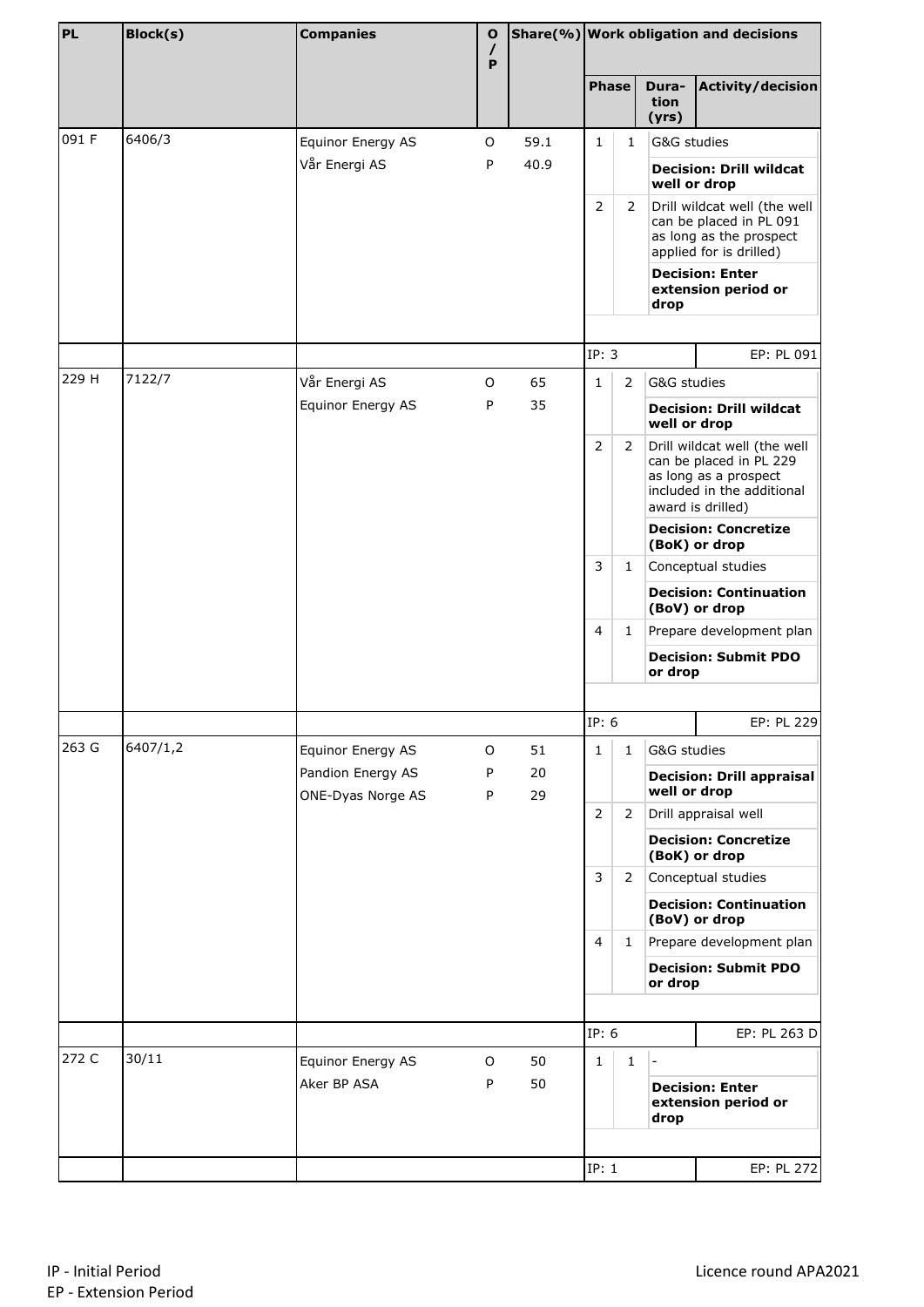| PL    | Block(s) | <b>Companies</b>                       | Ο<br>$\prime$<br>P |          |                |                |                                                | Share(%) Work obligation and decisions                                                                                              |                    |
|-------|----------|----------------------------------------|--------------------|----------|----------------|----------------|------------------------------------------------|-------------------------------------------------------------------------------------------------------------------------------------|--------------------|
|       |          |                                        |                    |          | <b>Phase</b>   |                | Dura-<br>tion<br>(yrs)                         | <b>Activity/decision</b>                                                                                                            |                    |
| 091 F | 6406/3   | Equinor Energy AS                      | O                  | 59.1     | 1              | $\mathbf{1}$   | G&G studies                                    |                                                                                                                                     |                    |
|       |          | Vår Energi AS                          | P                  | 40.9     |                |                |                                                | <b>Decision: Drill wildcat</b><br>well or drop                                                                                      |                    |
|       |          |                                        |                    |          | 2              | $\overline{2}$ |                                                | Drill wildcat well (the well<br>can be placed in PL 091<br>as long as the prospect<br>applied for is drilled)                       |                    |
|       |          |                                        |                    |          |                |                | drop                                           | <b>Decision: Enter</b><br>extension period or                                                                                       |                    |
|       |          |                                        |                    |          | IP: 3          |                |                                                | EP: PL 091                                                                                                                          |                    |
| 229 H | 7122/7   | Vår Energi AS                          | O                  | 65       | $\mathbf{1}$   | $\overline{2}$ | G&G studies                                    |                                                                                                                                     |                    |
|       |          | Equinor Energy AS                      | P                  | 35       |                |                | well or drop                                   | <b>Decision: Drill wildcat</b>                                                                                                      |                    |
|       |          |                                        |                    |          | $\overline{2}$ | $\overline{2}$ |                                                | Drill wildcat well (the well<br>can be placed in PL 229<br>as long as a prospect<br>included in the additional<br>award is drilled) |                    |
|       |          |                                        |                    |          |                |                |                                                | <b>Decision: Concretize</b><br>(BoK) or drop                                                                                        |                    |
|       |          |                                        |                    |          | 3              | 1              |                                                |                                                                                                                                     | Conceptual studies |
|       |          |                                        |                    |          |                |                | <b>Decision: Continuation</b><br>(BoV) or drop |                                                                                                                                     |                    |
|       |          |                                        |                    |          | $\overline{4}$ | 1              | Prepare development plan                       |                                                                                                                                     |                    |
|       |          |                                        |                    |          |                |                | or drop                                        | <b>Decision: Submit PDO</b>                                                                                                         |                    |
|       |          |                                        |                    |          | IP: 6          |                |                                                | EP: PL 229                                                                                                                          |                    |
| 263 G | 6407/1,2 | Equinor Energy AS                      | O                  | 51       | $\mathbf{1}$   | $\mathbf{1}$   | G&G studies                                    |                                                                                                                                     |                    |
|       |          | Pandion Energy AS<br>ONE-Dyas Norge AS | P<br>P             | 20<br>29 |                |                | well or drop                                   | <b>Decision: Drill appraisal</b>                                                                                                    |                    |
|       |          |                                        |                    |          | $\overline{2}$ | 2              |                                                | Drill appraisal well                                                                                                                |                    |
|       |          |                                        |                    |          |                |                |                                                | <b>Decision: Concretize</b><br>(BoK) or drop                                                                                        |                    |
|       |          |                                        |                    |          | 3              | $\overline{2}$ |                                                | Conceptual studies                                                                                                                  |                    |
|       |          |                                        |                    |          |                |                |                                                | <b>Decision: Continuation</b><br>(BoV) or drop                                                                                      |                    |
|       |          |                                        |                    |          | $\overline{4}$ | $\mathbf{1}$   |                                                | Prepare development plan                                                                                                            |                    |
|       |          |                                        |                    |          |                |                | or drop                                        | <b>Decision: Submit PDO</b>                                                                                                         |                    |
|       |          |                                        |                    |          |                |                |                                                |                                                                                                                                     |                    |
| 272 C | 30/11    |                                        |                    |          | IP: 6          |                |                                                | EP: PL 263 D                                                                                                                        |                    |
|       |          | Equinor Energy AS<br>Aker BP ASA       | O<br>P             | 50<br>50 | 1              | $\mathbf{1}$   | $\overline{\phantom{a}}$<br>drop               | <b>Decision: Enter</b><br>extension period or                                                                                       |                    |
|       |          |                                        |                    |          |                |                |                                                |                                                                                                                                     |                    |
|       |          |                                        |                    |          | IP: 1          |                |                                                | EP: PL 272                                                                                                                          |                    |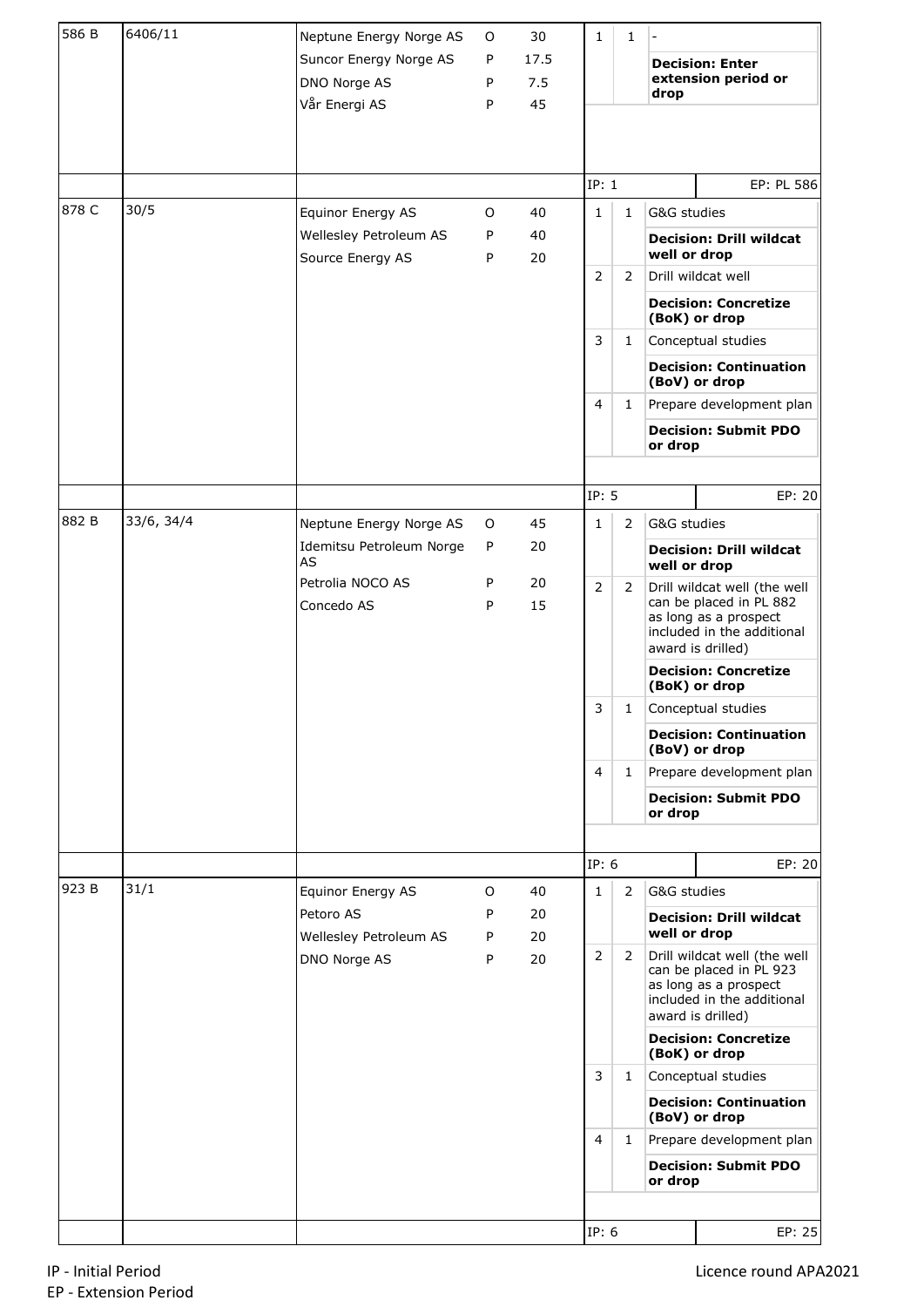| 586 B | 6406/11    | Neptune Energy Norge AS                                 | 0           | 30                | 1                              | 1              |                             |                                                                                                                                                                    |
|-------|------------|---------------------------------------------------------|-------------|-------------------|--------------------------------|----------------|-----------------------------|--------------------------------------------------------------------------------------------------------------------------------------------------------------------|
|       |            | Suncor Energy Norge AS<br>DNO Norge AS<br>Vår Energi AS | P<br>P<br>P | 17.5<br>7.5<br>45 |                                |                | drop                        | <b>Decision: Enter</b><br>extension period or                                                                                                                      |
|       |            |                                                         |             |                   |                                |                |                             |                                                                                                                                                                    |
|       |            |                                                         |             |                   | IP: 1                          |                |                             | EP: PL 586                                                                                                                                                         |
| 878 C | 30/5       | Equinor Energy AS                                       | 0           | 40                | $\mathbf{1}$                   | $\mathbf{1}$   | G&G studies                 |                                                                                                                                                                    |
|       |            | Wellesley Petroleum AS<br>Source Energy AS              | P<br>P      | 40<br>20          |                                |                | well or drop                | <b>Decision: Drill wildcat</b>                                                                                                                                     |
|       |            |                                                         |             |                   | $\overline{2}$                 | 2              |                             | Drill wildcat well                                                                                                                                                 |
|       |            |                                                         |             |                   |                                |                |                             | <b>Decision: Concretize</b><br>(BoK) or drop                                                                                                                       |
|       |            |                                                         |             |                   | 3                              | $\mathbf{1}$   |                             | Conceptual studies                                                                                                                                                 |
|       |            |                                                         |             |                   |                                |                |                             | <b>Decision: Continuation</b><br>(BoV) or drop                                                                                                                     |
|       |            |                                                         |             |                   | $\overline{4}$                 | $\mathbf{1}$   |                             | Prepare development plan                                                                                                                                           |
|       |            |                                                         |             |                   |                                |                | or drop                     | <b>Decision: Submit PDO</b>                                                                                                                                        |
|       |            |                                                         |             |                   | IP: 5                          |                |                             | EP: 20                                                                                                                                                             |
| 882 B | 33/6, 34/4 | Neptune Energy Norge AS                                 | 0           | 45                | $\mathbf{1}$                   | $\overline{2}$ | G&G studies                 |                                                                                                                                                                    |
|       |            | Idemitsu Petroleum Norge<br>AS                          | P           | 20                |                                |                | well or drop                | <b>Decision: Drill wildcat</b>                                                                                                                                     |
|       |            | Petrolia NOCO AS<br>Concedo AS                          | P<br>P      | 20<br>15          | $\overline{2}$                 | $\overline{2}$ |                             | Drill wildcat well (the well<br>can be placed in PL 882<br>as long as a prospect<br>included in the additional<br>award is drilled)                                |
|       |            |                                                         |             |                   |                                |                |                             | <b>Decision: Concretize</b><br>(BoK) or drop                                                                                                                       |
|       |            |                                                         |             |                   | 3                              | $\mathbf{1}$   |                             | Conceptual studies                                                                                                                                                 |
|       |            |                                                         |             |                   |                                |                |                             | <b>Decision: Continuation</b><br>(BoV) or drop                                                                                                                     |
|       |            |                                                         |             |                   | $\overline{4}$                 | $\mathbf{1}$   |                             | Prepare development plan                                                                                                                                           |
|       |            |                                                         |             |                   |                                |                | or drop                     | <b>Decision: Submit PDO</b>                                                                                                                                        |
|       |            |                                                         |             |                   |                                |                |                             |                                                                                                                                                                    |
|       |            |                                                         |             |                   | IP: 6                          |                |                             | EP: 20                                                                                                                                                             |
| 923 B | 31/1       | Equinor Energy AS                                       | 0           | 40                | $\mathbf{1}$                   | $\overline{2}$ | G&G studies                 |                                                                                                                                                                    |
|       |            | Petoro AS<br>Wellesley Petroleum AS                     | P<br>P      | 20<br>20          |                                |                | well or drop                | <b>Decision: Drill wildcat</b>                                                                                                                                     |
|       |            | DNO Norge AS                                            | P           | 20                | 2                              | $\mathbf{2}$   |                             | Drill wildcat well (the well<br>can be placed in PL 923<br>as long as a prospect<br>included in the additional<br>award is drilled)<br><b>Decision: Concretize</b> |
|       |            |                                                         |             |                   |                                |                |                             | (BoK) or drop                                                                                                                                                      |
|       |            |                                                         |             |                   | 3                              | $\mathbf{1}$   |                             | Conceptual studies<br><b>Decision: Continuation</b>                                                                                                                |
|       |            |                                                         |             |                   |                                |                |                             | (BoV) or drop<br>Prepare development plan                                                                                                                          |
|       |            |                                                         |             |                   | $\overline{4}$<br>$\mathbf{1}$ | or drop        | <b>Decision: Submit PDO</b> |                                                                                                                                                                    |
|       |            |                                                         |             |                   |                                |                |                             |                                                                                                                                                                    |
|       |            |                                                         |             |                   | IP: 6                          |                |                             | EP: 25                                                                                                                                                             |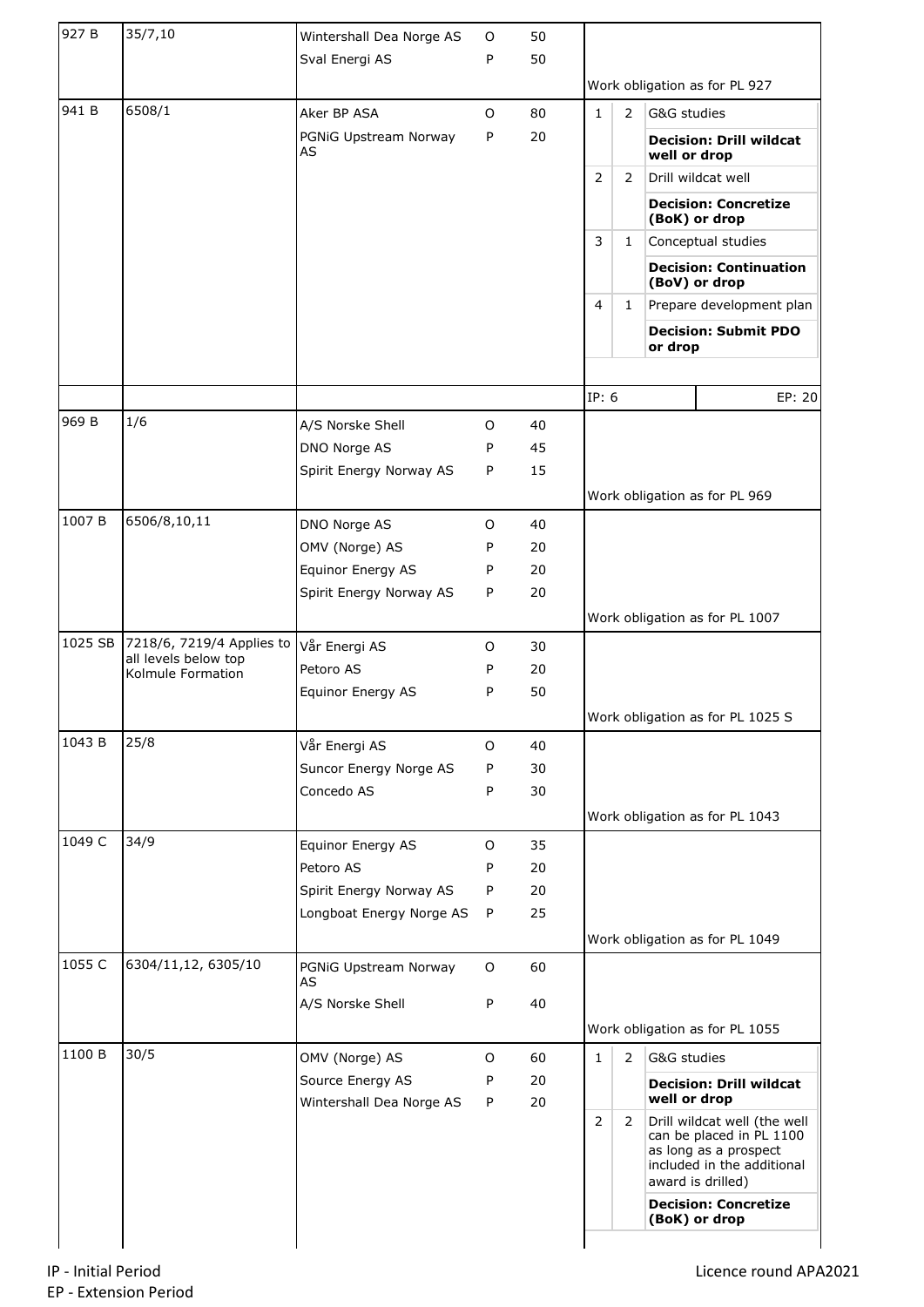| 927 B   | 35/7,10                                   | Wintershall Dea Norge AS    | $\circ$ | 50 |                |              |              |                                                                                                                                      |
|---------|-------------------------------------------|-----------------------------|---------|----|----------------|--------------|--------------|--------------------------------------------------------------------------------------------------------------------------------------|
|         |                                           | Sval Energi AS              | P       | 50 |                |              |              |                                                                                                                                      |
|         |                                           |                             |         |    |                |              |              | Work obligation as for PL 927                                                                                                        |
| 941 B   | 6508/1                                    | Aker BP ASA                 | O       | 80 | $\mathbf{1}$   | 2            | G&G studies  |                                                                                                                                      |
|         |                                           | PGNiG Upstream Norway<br>AS | P       | 20 |                |              | well or drop | <b>Decision: Drill wildcat</b>                                                                                                       |
|         |                                           |                             |         |    | $\overline{2}$ | 2            |              | Drill wildcat well                                                                                                                   |
|         |                                           |                             |         |    |                |              |              | <b>Decision: Concretize</b><br>(BoK) or drop                                                                                         |
|         |                                           |                             |         |    | 3              | $\mathbf{1}$ |              | Conceptual studies                                                                                                                   |
|         |                                           |                             |         |    |                |              |              | <b>Decision: Continuation</b><br>(BoV) or drop                                                                                       |
|         |                                           |                             |         |    | 4              | $\mathbf{1}$ |              | Prepare development plan                                                                                                             |
|         |                                           |                             |         |    |                |              | or drop      | <b>Decision: Submit PDO</b>                                                                                                          |
|         |                                           |                             |         |    | IP: 6          |              |              | EP: 20                                                                                                                               |
| 969 B   | 1/6                                       | A/S Norske Shell            | O       | 40 |                |              |              |                                                                                                                                      |
|         |                                           | DNO Norge AS                | P       | 45 |                |              |              |                                                                                                                                      |
|         |                                           | Spirit Energy Norway AS     | P       | 15 |                |              |              |                                                                                                                                      |
|         |                                           |                             |         |    |                |              |              | Work obligation as for PL 969                                                                                                        |
| 1007B   | 6506/8,10,11                              | DNO Norge AS                | O       | 40 |                |              |              |                                                                                                                                      |
|         |                                           | OMV (Norge) AS              | Ρ       | 20 |                |              |              |                                                                                                                                      |
|         |                                           | Equinor Energy AS           | Ρ       | 20 |                |              |              |                                                                                                                                      |
|         |                                           | Spirit Energy Norway AS     | P       | 20 |                |              |              |                                                                                                                                      |
|         |                                           |                             |         |    |                |              |              | Work obligation as for PL 1007                                                                                                       |
| 1025 SB | 7218/6, 7219/4 Applies to                 | Vår Energi AS               | O       | 30 |                |              |              |                                                                                                                                      |
|         | all levels below top<br>Kolmule Formation | Petoro AS                   | P       | 20 |                |              |              |                                                                                                                                      |
|         |                                           | Equinor Energy AS           | P       | 50 |                |              |              |                                                                                                                                      |
|         |                                           |                             |         |    |                |              |              | Work obligation as for PL 1025 S                                                                                                     |
| 1043 B  | 25/8                                      | Vår Energi AS               | O       | 40 |                |              |              |                                                                                                                                      |
|         |                                           | Suncor Energy Norge AS      | Ρ       | 30 |                |              |              |                                                                                                                                      |
|         |                                           | Concedo AS                  | Ρ       | 30 |                |              |              |                                                                                                                                      |
|         |                                           |                             |         |    |                |              |              | Work obligation as for PL 1043                                                                                                       |
| 1049 C  | 34/9                                      | Equinor Energy AS           | O       | 35 |                |              |              |                                                                                                                                      |
|         |                                           | Petoro AS                   | P       | 20 |                |              |              |                                                                                                                                      |
|         |                                           | Spirit Energy Norway AS     | P       | 20 |                |              |              |                                                                                                                                      |
|         |                                           | Longboat Energy Norge AS    | P       | 25 |                |              |              |                                                                                                                                      |
| 1055 C  | 6304/11,12, 6305/10                       |                             |         |    |                |              |              | Work obligation as for PL 1049                                                                                                       |
|         |                                           | PGNiG Upstream Norway<br>AS | O       | 60 |                |              |              |                                                                                                                                      |
|         |                                           | A/S Norske Shell            | Ρ       | 40 |                |              |              | Work obligation as for PL 1055                                                                                                       |
| 1100 B  | 30/5                                      | OMV (Norge) AS              | O       | 60 | $\mathbf{1}$   | 2            | G&G studies  |                                                                                                                                      |
|         |                                           | Source Energy AS            | Ρ       | 20 |                |              |              |                                                                                                                                      |
|         |                                           | Wintershall Dea Norge AS    | P       | 20 |                |              | well or drop | <b>Decision: Drill wildcat</b>                                                                                                       |
|         |                                           |                             |         |    | $\overline{2}$ | 2            |              | Drill wildcat well (the well<br>can be placed in PL 1100<br>as long as a prospect<br>included in the additional<br>award is drilled) |
|         |                                           |                             |         |    |                |              |              | <b>Decision: Concretize</b><br>(BoK) or drop                                                                                         |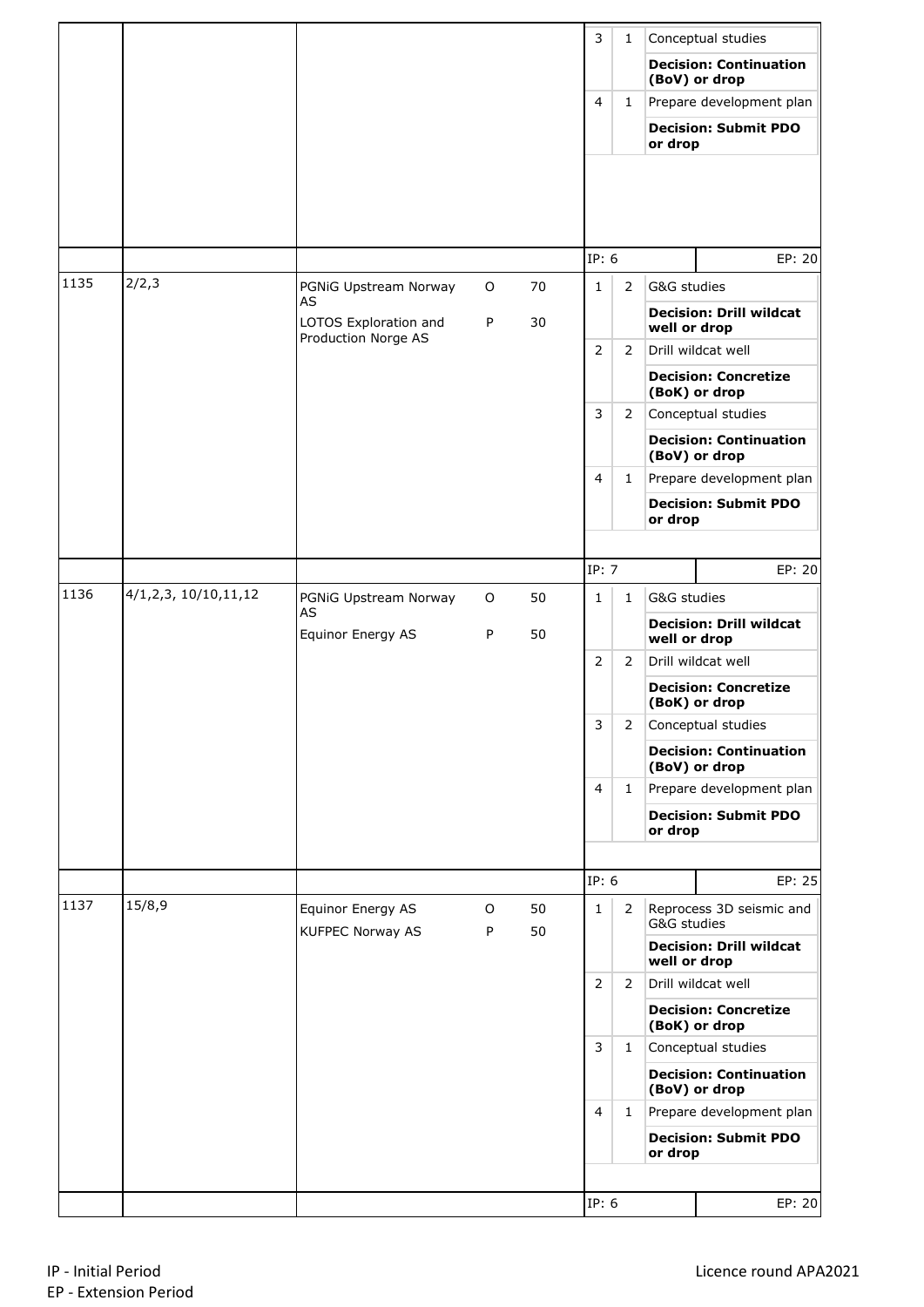|      |                      |                                              |        |          | 3              | 1              |              | Conceptual studies                             |
|------|----------------------|----------------------------------------------|--------|----------|----------------|----------------|--------------|------------------------------------------------|
|      |                      |                                              |        |          |                |                |              | <b>Decision: Continuation</b><br>(BoV) or drop |
|      |                      |                                              |        |          | $\overline{4}$ | $\mathbf{1}$   |              | Prepare development plan                       |
|      |                      |                                              |        |          |                |                | or drop      | <b>Decision: Submit PDO</b>                    |
|      |                      |                                              |        |          |                |                |              |                                                |
|      |                      |                                              |        |          | IP: 6          |                |              | EP: 20                                         |
| 1135 | 2/2,3                | PGNiG Upstream Norway<br>AS                  | O      | 70       | $\mathbf{1}$   | $\overline{2}$ | G&G studies  |                                                |
|      |                      | LOTOS Exploration and<br>Production Norge AS | P      | 30       |                |                | well or drop | <b>Decision: Drill wildcat</b>                 |
|      |                      |                                              |        |          | $\overline{2}$ | $\overline{2}$ |              | Drill wildcat well                             |
|      |                      |                                              |        |          |                |                |              | <b>Decision: Concretize</b><br>(BoK) or drop   |
|      |                      |                                              |        |          | 3              | $\overline{2}$ |              | Conceptual studies                             |
|      |                      |                                              |        |          |                |                |              | <b>Decision: Continuation</b><br>(BoV) or drop |
|      |                      |                                              |        |          | $\overline{4}$ | $\mathbf{1}$   |              | Prepare development plan                       |
|      |                      |                                              |        |          |                |                | or drop      | <b>Decision: Submit PDO</b>                    |
|      |                      |                                              |        |          |                |                |              |                                                |
|      |                      |                                              |        |          | IP: 7          |                |              | EP: 20                                         |
| 1136 | 4/1,2,3, 10/10,11,12 | PGNiG Upstream Norway<br>AS                  | O      | 50       | $\mathbf{1}$   | $\mathbf{1}$   | G&G studies  |                                                |
|      |                      | Equinor Energy AS                            | P      | 50       |                |                | well or drop | <b>Decision: Drill wildcat</b>                 |
|      |                      |                                              |        |          | 2              | $\overline{2}$ |              | Drill wildcat well                             |
|      |                      |                                              |        |          |                |                |              | <b>Decision: Concretize</b><br>(BoK) or drop   |
|      |                      |                                              |        |          | 3              | 2              |              | Conceptual studies                             |
|      |                      |                                              |        |          |                |                |              | <b>Decision: Continuation</b><br>(BoV) or drop |
|      |                      |                                              |        |          | $\overline{4}$ | $\mathbf{1}$   |              | Prepare development plan                       |
|      |                      |                                              |        |          |                |                | or drop      | <b>Decision: Submit PDO</b>                    |
|      |                      |                                              |        |          |                |                |              |                                                |
|      |                      |                                              |        |          | IP: 6          |                |              | EP: 25                                         |
| 1137 | 15/8,9               | Equinor Energy AS<br><b>KUFPEC Norway AS</b> | O<br>P | 50<br>50 | $\mathbf{1}$   | $\overline{2}$ | G&G studies  | Reprocess 3D seismic and                       |
|      |                      |                                              |        |          |                |                | well or drop | <b>Decision: Drill wildcat</b>                 |
|      |                      |                                              |        |          | 2              | $\overline{2}$ |              | Drill wildcat well                             |
|      |                      |                                              |        |          |                |                |              | <b>Decision: Concretize</b><br>(BoK) or drop   |
|      |                      |                                              |        |          | 3              | $\mathbf{1}$   |              | Conceptual studies                             |
|      |                      |                                              |        |          |                |                |              | <b>Decision: Continuation</b><br>(BoV) or drop |
|      |                      |                                              |        |          | $\overline{4}$ | $\mathbf{1}$   |              | Prepare development plan                       |
|      |                      |                                              |        |          |                |                | or drop      | <b>Decision: Submit PDO</b>                    |
|      |                      |                                              |        |          |                |                |              |                                                |
|      |                      |                                              |        |          | IP: 6          |                |              | EP: 20                                         |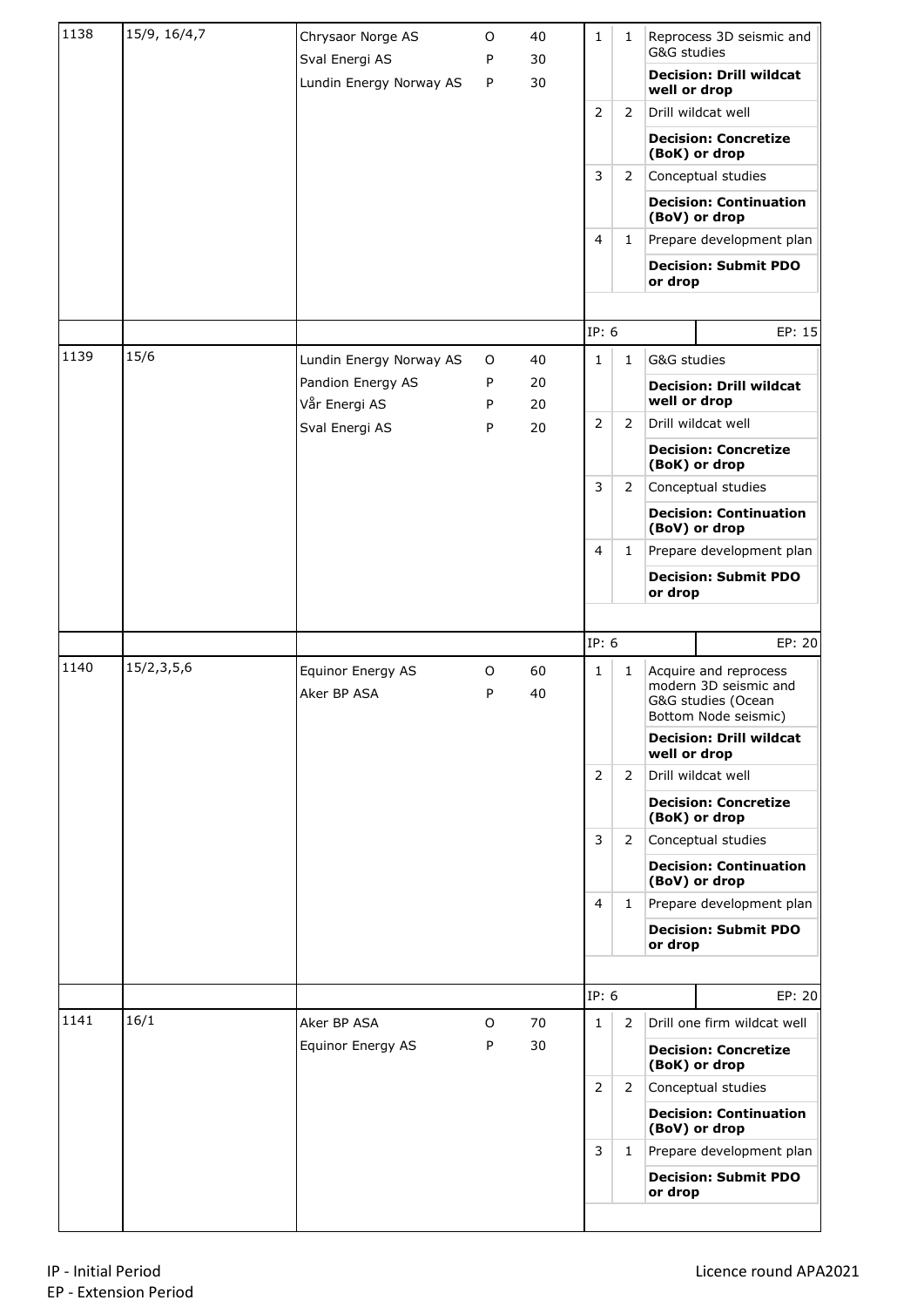| 1138 | 15/9, 16/4,7 | Chrysaor Norge AS                         | O      | 40       | $\mathbf{1}$   | $\mathbf{1}$   | G&G studies  | Reprocess 3D seismic and                                                                                                       |
|------|--------------|-------------------------------------------|--------|----------|----------------|----------------|--------------|--------------------------------------------------------------------------------------------------------------------------------|
|      |              | Sval Energi AS<br>Lundin Energy Norway AS | P<br>P | 30<br>30 |                |                | well or drop | <b>Decision: Drill wildcat</b>                                                                                                 |
|      |              |                                           |        |          | $\overline{2}$ | 2              |              | Drill wildcat well                                                                                                             |
|      |              |                                           |        |          |                |                |              | <b>Decision: Concretize</b><br>(BoK) or drop                                                                                   |
|      |              |                                           |        |          | 3              | $\mathbf{2}$   |              | Conceptual studies                                                                                                             |
|      |              |                                           |        |          |                |                |              | <b>Decision: Continuation</b><br>(BoV) or drop                                                                                 |
|      |              |                                           |        |          | $\overline{4}$ | $\mathbf{1}$   |              | Prepare development plan                                                                                                       |
|      |              |                                           |        |          |                |                | or drop      | <b>Decision: Submit PDO</b>                                                                                                    |
|      |              |                                           |        |          |                |                |              |                                                                                                                                |
|      |              |                                           |        |          | IP: 6          |                |              | EP: 15                                                                                                                         |
| 1139 | 15/6         | Lundin Energy Norway AS                   | 0      | 40       | $\mathbf{1}$   | $\mathbf{1}$   | G&G studies  |                                                                                                                                |
|      |              | Pandion Energy AS<br>Vår Energi AS        | P<br>P | 20<br>20 |                |                | well or drop | <b>Decision: Drill wildcat</b>                                                                                                 |
|      |              | Sval Energi AS                            | P      | 20       | $\overline{2}$ | 2              |              | Drill wildcat well                                                                                                             |
|      |              |                                           |        |          |                |                |              | <b>Decision: Concretize</b><br>(BoK) or drop                                                                                   |
|      |              |                                           |        |          | 3              | $\overline{2}$ |              | Conceptual studies                                                                                                             |
|      |              |                                           |        |          |                |                |              | <b>Decision: Continuation</b><br>(BoV) or drop                                                                                 |
|      |              |                                           |        |          | 4              | $\mathbf{1}$   |              | Prepare development plan                                                                                                       |
|      |              |                                           |        |          |                |                | or drop      | <b>Decision: Submit PDO</b>                                                                                                    |
|      |              |                                           |        |          |                |                |              |                                                                                                                                |
|      |              |                                           |        |          | IP: 6          |                |              | EP: 20                                                                                                                         |
| 1140 | 15/2,3,5,6   | Equinor Energy AS<br>Aker BP ASA          | 0<br>P | 60<br>40 | $\mathbf{1}$   | $\mathbf{1}$   |              | Acquire and reprocess<br>modern 3D seismic and<br>G&G studies (Ocean<br>Bottom Node seismic)<br><b>Decision: Drill wildcat</b> |
|      |              |                                           |        |          |                |                | well or drop |                                                                                                                                |
|      |              |                                           |        |          | $\overline{2}$ | 2              |              | Drill wildcat well                                                                                                             |
|      |              |                                           |        |          |                |                |              | <b>Decision: Concretize</b><br>(BoK) or drop                                                                                   |
|      |              |                                           |        |          | 3              | $\mathbf{2}$   |              | Conceptual studies                                                                                                             |
|      |              |                                           |        |          |                |                |              | <b>Decision: Continuation</b><br>(BoV) or drop                                                                                 |
|      |              |                                           |        |          | 4              | $\mathbf{1}$   |              | Prepare development plan                                                                                                       |
|      |              |                                           |        |          |                |                | or drop      | <b>Decision: Submit PDO</b>                                                                                                    |
|      |              |                                           |        |          |                |                |              |                                                                                                                                |
|      |              |                                           |        |          | IP: 6          |                |              | EP: 20                                                                                                                         |
| 1141 | 16/1         | Aker BP ASA                               | 0      | 70       | $\mathbf{1}$   | $\overline{2}$ |              | Drill one firm wildcat well                                                                                                    |
|      |              | Equinor Energy AS                         | P      | 30       |                |                |              | <b>Decision: Concretize</b><br>(BoK) or drop                                                                                   |
|      |              |                                           |        |          | $\overline{2}$ | 2              |              | Conceptual studies                                                                                                             |
|      |              |                                           |        |          |                |                |              | <b>Decision: Continuation</b><br>(BoV) or drop                                                                                 |
|      |              |                                           |        |          | 3              | $\mathbf{1}$   |              | Prepare development plan                                                                                                       |
|      |              |                                           |        |          |                |                | or drop      | <b>Decision: Submit PDO</b>                                                                                                    |
|      |              |                                           |        |          |                |                |              |                                                                                                                                |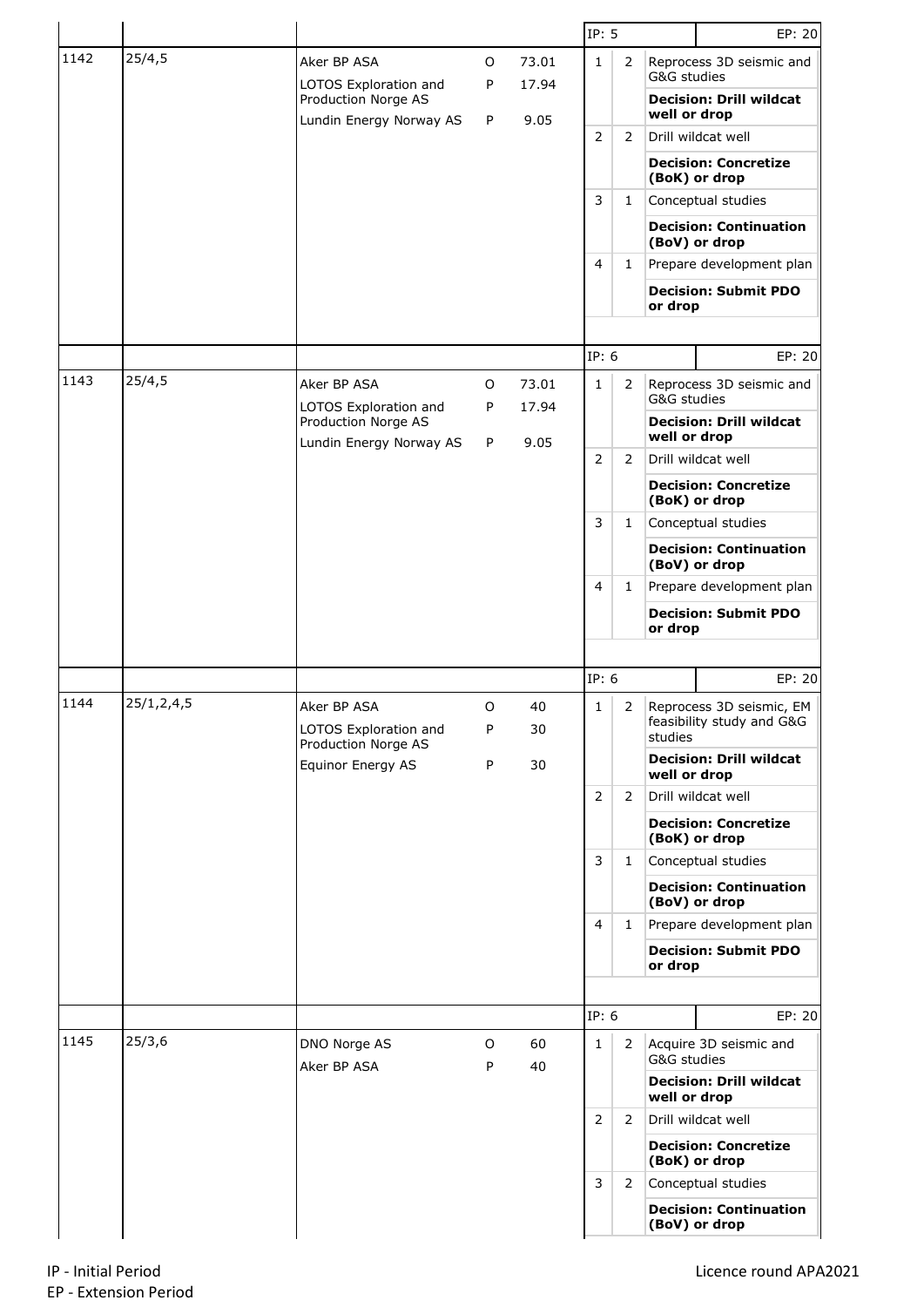|      |               |                                                                         |        |                | IP: 5          |                |                                                | EP: 20                                                |
|------|---------------|-------------------------------------------------------------------------|--------|----------------|----------------|----------------|------------------------------------------------|-------------------------------------------------------|
| 1142 | 25/4,5        | Aker BP ASA                                                             | O      | 73.01          | $\mathbf{1}$   | 2              | G&G studies                                    | Reprocess 3D seismic and                              |
|      |               | LOTOS Exploration and<br>Production Norge AS<br>Lundin Energy Norway AS | P<br>P | 17.94<br>9.05  |                |                | well or drop                                   | <b>Decision: Drill wildcat</b>                        |
|      |               |                                                                         |        |                | 2              | 2              |                                                | Drill wildcat well                                    |
|      |               |                                                                         |        |                |                |                |                                                | <b>Decision: Concretize</b><br>(BoK) or drop          |
|      |               |                                                                         |        |                | 3              | $\mathbf{1}$   |                                                | Conceptual studies                                    |
|      |               |                                                                         |        |                |                |                |                                                | <b>Decision: Continuation</b><br>(BoV) or drop        |
|      |               |                                                                         |        |                | 4              | $\mathbf{1}$   |                                                | Prepare development plan                              |
|      |               |                                                                         |        |                |                |                | or drop                                        | <b>Decision: Submit PDO</b>                           |
|      |               |                                                                         |        |                |                |                |                                                |                                                       |
|      |               |                                                                         |        |                | IP: 6          |                |                                                | EP: 20                                                |
| 1143 | 25/4,5        | Aker BP ASA<br>LOTOS Exploration and                                    | 0<br>P | 73.01<br>17.94 | 1              | 2              | G&G studies                                    | Reprocess 3D seismic and                              |
|      |               | Production Norge AS<br>Lundin Energy Norway AS                          | P      | 9.05           |                |                | well or drop                                   | <b>Decision: Drill wildcat</b>                        |
|      |               |                                                                         |        |                | 2              | 2              |                                                | Drill wildcat well                                    |
|      |               |                                                                         |        |                |                |                |                                                | <b>Decision: Concretize</b><br>(BoK) or drop          |
|      |               |                                                                         |        |                | 3              | 1              |                                                | Conceptual studies                                    |
|      |               |                                                                         |        |                |                |                | <b>Decision: Continuation</b><br>(BoV) or drop |                                                       |
|      |               |                                                                         |        |                | 4              | $\mathbf{1}$   |                                                | Prepare development plan                              |
|      |               |                                                                         |        |                |                | or drop        | <b>Decision: Submit PDO</b>                    |                                                       |
|      |               |                                                                         |        |                |                |                |                                                |                                                       |
|      |               |                                                                         |        |                | IP: 6          |                |                                                | EP: 20                                                |
| 1144 | 25/1, 2, 4, 5 | Aker BP ASA<br>LOTOS Exploration and                                    | O<br>P | 40<br>30       | 1              | 2              | studies                                        | Reprocess 3D seismic, EM<br>feasibility study and G&G |
|      |               | Production Norge AS<br>Equinor Energy AS                                | P      | 30             |                |                | well or drop                                   | <b>Decision: Drill wildcat</b>                        |
|      |               |                                                                         |        |                | $\overline{2}$ | 2              |                                                | Drill wildcat well                                    |
|      |               |                                                                         |        |                |                |                |                                                | <b>Decision: Concretize</b><br>(BoK) or drop          |
|      |               |                                                                         |        |                | 3              | $\mathbf{1}$   |                                                | Conceptual studies                                    |
|      |               |                                                                         |        |                |                |                |                                                | <b>Decision: Continuation</b><br>(BoV) or drop        |
|      |               |                                                                         |        |                | 4              | $\mathbf{1}$   |                                                | Prepare development plan                              |
|      |               |                                                                         |        |                |                |                | or drop                                        | <b>Decision: Submit PDO</b>                           |
|      |               |                                                                         |        |                |                |                |                                                |                                                       |
|      |               |                                                                         |        |                | IP: 6          |                |                                                | EP: 20                                                |
| 1145 | 25/3,6        | DNO Norge AS<br>Aker BP ASA                                             | O<br>P | 60<br>40       | 1              | $\overline{2}$ | G&G studies                                    | Acquire 3D seismic and                                |
|      |               |                                                                         |        |                |                |                | well or drop                                   | <b>Decision: Drill wildcat</b>                        |
|      |               |                                                                         |        |                | $\overline{2}$ | $\overline{2}$ |                                                | Drill wildcat well                                    |
|      |               |                                                                         |        |                |                |                |                                                | <b>Decision: Concretize</b><br>(BoK) or drop          |
|      |               |                                                                         |        |                |                |                |                                                |                                                       |
|      |               |                                                                         |        |                | 3              | $\overline{2}$ |                                                | Conceptual studies                                    |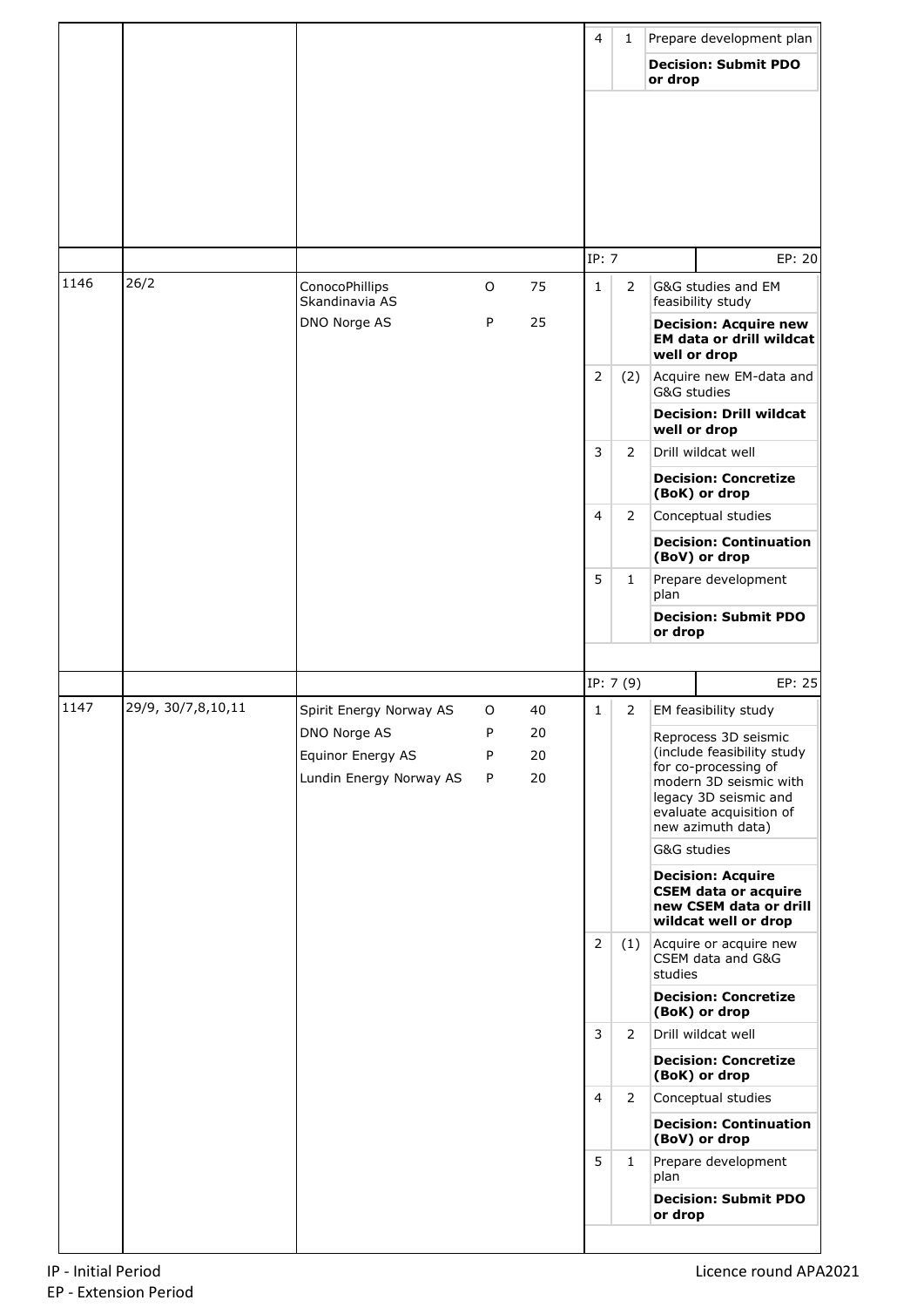|      |                    |                                                              |                        |          | $\overline{4}$ | 1              |             | Prepare development plan                                                                                                                                                      |
|------|--------------------|--------------------------------------------------------------|------------------------|----------|----------------|----------------|-------------|-------------------------------------------------------------------------------------------------------------------------------------------------------------------------------|
|      |                    |                                                              |                        |          |                |                | or drop     | <b>Decision: Submit PDO</b>                                                                                                                                                   |
|      |                    |                                                              |                        |          |                |                |             |                                                                                                                                                                               |
|      |                    |                                                              |                        |          | IP: 7          |                |             | EP: 20                                                                                                                                                                        |
| 1146 | 26/2               | ConocoPhillips<br>Skandinavia AS                             | O                      | 75       | $\mathbf{1}$   | $\overline{2}$ |             | G&G studies and EM<br>feasibility study                                                                                                                                       |
|      |                    | DNO Norge AS                                                 | P                      | 25       |                |                |             | <b>Decision: Acquire new</b><br><b>EM data or drill wildcat</b><br>well or drop                                                                                               |
|      |                    |                                                              |                        |          | $\overline{2}$ | (2)            | G&G studies | Acquire new EM-data and                                                                                                                                                       |
|      |                    |                                                              |                        |          |                |                |             | <b>Decision: Drill wildcat</b><br>well or drop                                                                                                                                |
|      |                    |                                                              |                        |          | 3              | $\overline{2}$ |             | Drill wildcat well                                                                                                                                                            |
|      |                    |                                                              |                        |          |                |                |             | <b>Decision: Concretize</b><br>(BoK) or drop                                                                                                                                  |
|      |                    |                                                              |                        |          | $\overline{4}$ | 2              |             | Conceptual studies                                                                                                                                                            |
|      |                    |                                                              |                        |          |                |                |             | <b>Decision: Continuation</b><br>(BoV) or drop                                                                                                                                |
|      |                    |                                                              |                        |          | 5              | $\mathbf{1}$   | plan        | Prepare development                                                                                                                                                           |
|      |                    |                                                              |                        |          |                |                | or drop     | <b>Decision: Submit PDO</b>                                                                                                                                                   |
|      |                    |                                                              |                        |          |                |                |             |                                                                                                                                                                               |
|      |                    |                                                              |                        |          |                | IP: 7 (9)      |             | EP: 25                                                                                                                                                                        |
| 1147 | 29/9, 30/7,8,10,11 | Spirit Energy Norway AS                                      | O                      | 40<br>20 | $\mathbf{1}$   | $\overline{2}$ |             | EM feasibility study                                                                                                                                                          |
|      |                    | DNO Norge AS<br>Equinor Energy AS<br>Lundin Energy Norway AS | P<br>P<br>$\mathsf{P}$ | 20<br>20 |                |                |             | Reprocess 3D seismic<br>(include feasibility study<br>for co-processing of<br>modern 3D seismic with<br>legacy 3D seismic and<br>evaluate acquisition of<br>new azimuth data) |
|      |                    |                                                              |                        |          |                |                | G&G studies |                                                                                                                                                                               |
|      |                    |                                                              |                        |          |                |                |             | <b>Decision: Acquire</b><br><b>CSEM data or acquire</b><br>new CSEM data or drill<br>wildcat well or drop                                                                     |
|      |                    |                                                              |                        |          | $\overline{2}$ | (1)            | studies     | Acquire or acquire new<br>CSEM data and G&G                                                                                                                                   |
|      |                    |                                                              |                        |          |                |                |             | <b>Decision: Concretize</b><br>(BoK) or drop                                                                                                                                  |
|      |                    |                                                              |                        |          | 3              | $\overline{2}$ |             | Drill wildcat well                                                                                                                                                            |
|      |                    |                                                              |                        |          |                |                |             | <b>Decision: Concretize</b><br>(BoK) or drop                                                                                                                                  |
|      |                    |                                                              |                        |          | $\overline{4}$ | $\overline{2}$ |             | Conceptual studies                                                                                                                                                            |
|      |                    |                                                              |                        |          | 5              | $\mathbf{1}$   |             | <b>Decision: Continuation</b><br>(BoV) or drop<br>Prepare development                                                                                                         |
|      |                    |                                                              |                        |          |                |                | plan        | <b>Decision: Submit PDO</b>                                                                                                                                                   |
|      |                    |                                                              |                        |          |                |                | or drop     |                                                                                                                                                                               |
|      |                    |                                                              |                        |          |                |                |             |                                                                                                                                                                               |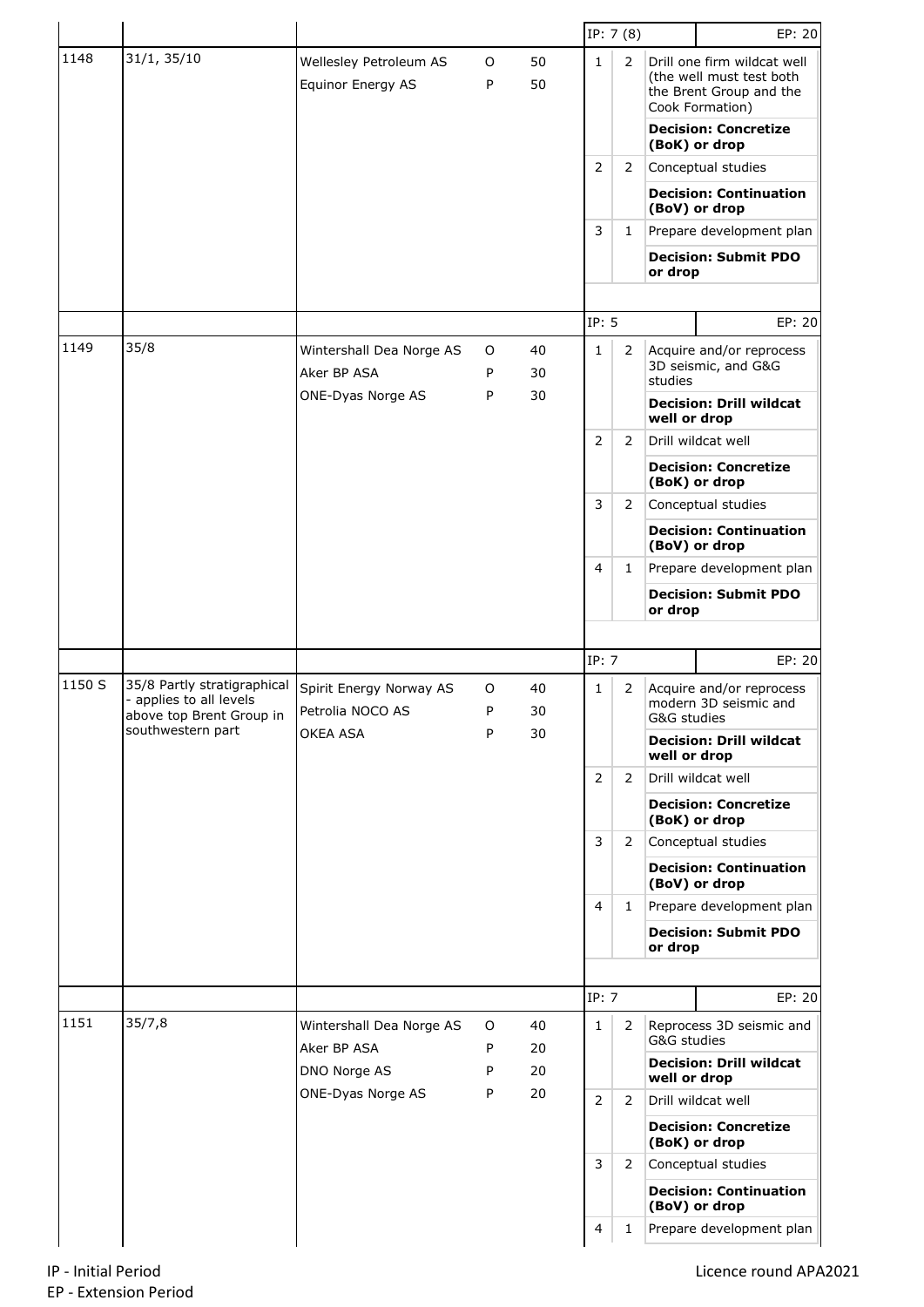|        |                                                                                    |                                             |        |          |                | IP: 7(8)       |                             | EP: 20                                                                                                                                                |
|--------|------------------------------------------------------------------------------------|---------------------------------------------|--------|----------|----------------|----------------|-----------------------------|-------------------------------------------------------------------------------------------------------------------------------------------------------|
| 1148   | 31/1, 35/10                                                                        | Wellesley Petroleum AS<br>Equinor Energy AS | O<br>P | 50<br>50 | $\mathbf{1}$   | 2              |                             | Drill one firm wildcat well<br>(the well must test both<br>the Brent Group and the<br>Cook Formation)<br><b>Decision: Concretize</b><br>(BoK) or drop |
|        |                                                                                    |                                             |        |          | 2              | 2              |                             | Conceptual studies                                                                                                                                    |
|        |                                                                                    |                                             |        |          |                |                |                             | <b>Decision: Continuation</b><br>(BoV) or drop                                                                                                        |
|        |                                                                                    |                                             |        |          | 3              | 1              |                             | Prepare development plan                                                                                                                              |
|        |                                                                                    |                                             |        |          |                |                | or drop                     | <b>Decision: Submit PDO</b>                                                                                                                           |
|        |                                                                                    |                                             |        |          |                |                |                             |                                                                                                                                                       |
| 1149   | 35/8                                                                               |                                             |        |          | IP: 5          |                |                             | EP: 20                                                                                                                                                |
|        |                                                                                    | Wintershall Dea Norge AS<br>Aker BP ASA     | O<br>P | 40<br>30 | $\mathbf{1}$   | $\overline{2}$ | studies                     | Acquire and/or reprocess<br>3D seismic, and G&G                                                                                                       |
|        |                                                                                    | ONE-Dyas Norge AS                           | P      | 30       |                |                | well or drop                | <b>Decision: Drill wildcat</b>                                                                                                                        |
|        |                                                                                    |                                             |        |          | $\overline{2}$ | 2              |                             | Drill wildcat well                                                                                                                                    |
|        |                                                                                    |                                             |        |          |                |                |                             | <b>Decision: Concretize</b><br>(BoK) or drop                                                                                                          |
|        |                                                                                    |                                             |        |          | 3              | 2              |                             | Conceptual studies                                                                                                                                    |
|        |                                                                                    |                                             |        |          |                |                |                             | <b>Decision: Continuation</b><br>(BoV) or drop                                                                                                        |
|        |                                                                                    |                                             |        |          | $\overline{4}$ | $\mathbf{1}$   |                             | Prepare development plan                                                                                                                              |
|        |                                                                                    |                                             |        |          |                | or drop        | <b>Decision: Submit PDO</b> |                                                                                                                                                       |
|        |                                                                                    |                                             |        |          |                |                |                             |                                                                                                                                                       |
|        |                                                                                    |                                             |        |          | IP: 7          |                |                             | EP: 20                                                                                                                                                |
| 1150 S | 35/8 Partly stratigraphical<br>- applies to all levels<br>above top Brent Group in | Spirit Energy Norway AS<br>Petrolia NOCO AS | O<br>P | 40<br>30 | 1              | 2              |                             | Acquire and/or reprocess<br>modern 3D seismic and<br>G&G studies                                                                                      |
|        | southwestern part                                                                  | OKEA ASA                                    | P      | 30       |                |                | well or drop                | <b>Decision: Drill wildcat</b>                                                                                                                        |
|        |                                                                                    |                                             |        |          | 2              | 2              |                             | Drill wildcat well                                                                                                                                    |
|        |                                                                                    |                                             |        |          |                |                |                             | <b>Decision: Concretize</b><br>(BoK) or drop                                                                                                          |
|        |                                                                                    |                                             |        |          | 3              | 2              |                             | Conceptual studies                                                                                                                                    |
|        |                                                                                    |                                             |        |          |                |                |                             | <b>Decision: Continuation</b><br>(BoV) or drop                                                                                                        |
|        |                                                                                    |                                             |        |          | 4              | $\mathbf{1}$   |                             | Prepare development plan                                                                                                                              |
|        |                                                                                    |                                             |        |          |                |                | or drop                     | <b>Decision: Submit PDO</b>                                                                                                                           |
|        |                                                                                    |                                             |        |          |                |                |                             |                                                                                                                                                       |
|        |                                                                                    |                                             |        |          | IP: 7          |                |                             | EP: 20                                                                                                                                                |
| 1151   | 35/7,8                                                                             | Wintershall Dea Norge AS<br>Aker BP ASA     | O<br>P | 40<br>20 | 1              | 2              | G&G studies                 | Reprocess 3D seismic and                                                                                                                              |
|        |                                                                                    | DNO Norge AS                                | P      | 20       |                |                | well or drop                | <b>Decision: Drill wildcat</b>                                                                                                                        |
|        |                                                                                    | ONE-Dyas Norge AS                           | P      | 20       | $\overline{2}$ | $\overline{2}$ |                             | Drill wildcat well                                                                                                                                    |
|        |                                                                                    |                                             |        |          |                |                |                             | <b>Decision: Concretize</b><br>(BoK) or drop                                                                                                          |
|        |                                                                                    |                                             |        |          | 3              | 2              |                             | Conceptual studies                                                                                                                                    |
|        |                                                                                    |                                             |        |          |                |                |                             | <b>Decision: Continuation</b><br>(BoV) or drop                                                                                                        |
|        |                                                                                    |                                             |        |          | 4              | 1              |                             | Prepare development plan                                                                                                                              |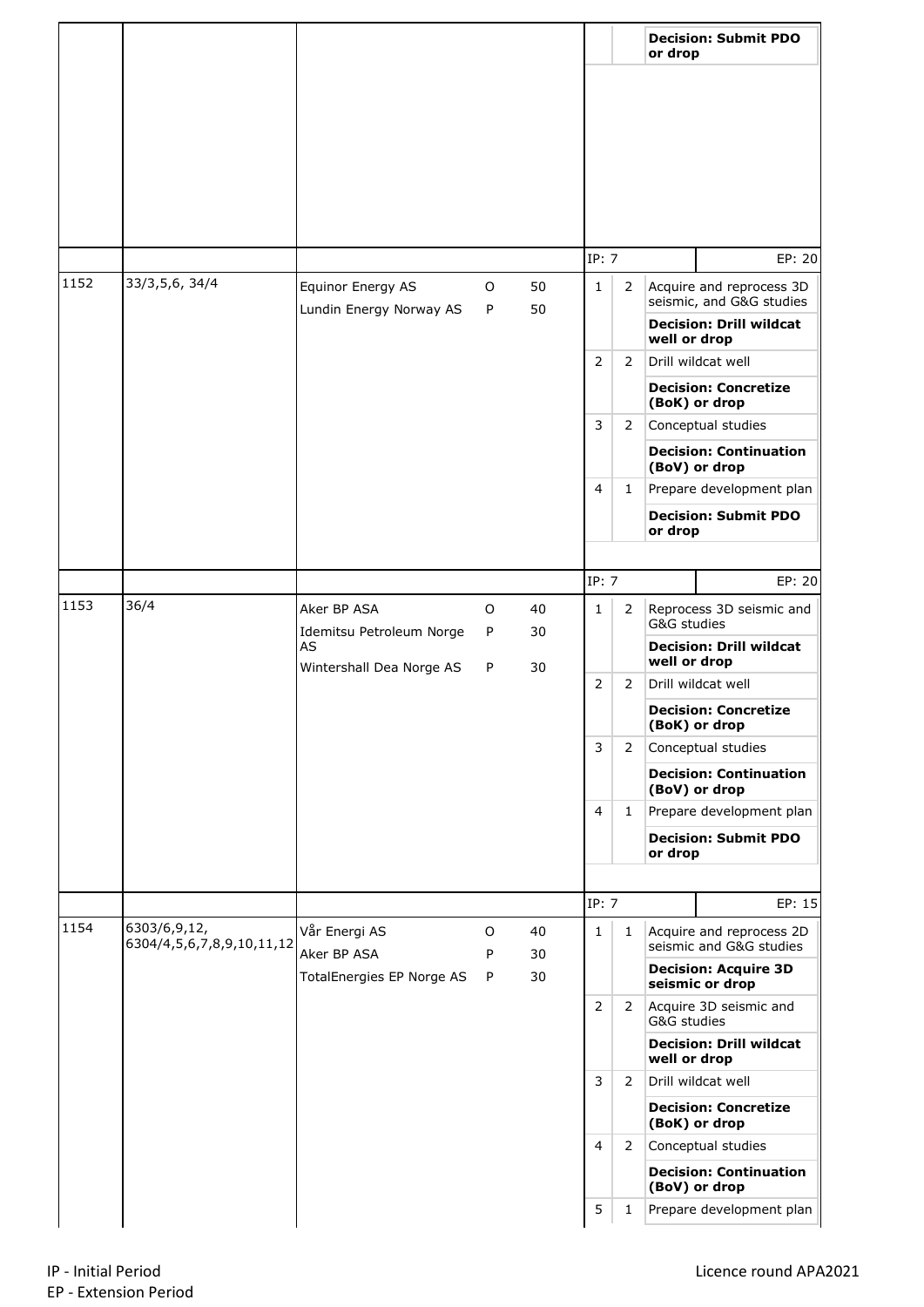|      |                                           |                                              |              |          |                |                | or drop      | <b>Decision: Submit PDO</b>                             |
|------|-------------------------------------------|----------------------------------------------|--------------|----------|----------------|----------------|--------------|---------------------------------------------------------|
|      |                                           |                                              |              |          |                |                |              |                                                         |
|      |                                           |                                              |              |          | IP: 7          |                |              | EP: 20                                                  |
| 1152 | 33/3,5,6, 34/4                            | Equinor Energy AS<br>Lundin Energy Norway AS | $\circ$<br>P | 50<br>50 | $\mathbf{1}$   | $\overline{2}$ |              | Acquire and reprocess 3D<br>seismic, and G&G studies    |
|      |                                           |                                              |              |          |                |                | well or drop | <b>Decision: Drill wildcat</b>                          |
|      |                                           |                                              |              |          | $\overline{2}$ | 2              |              | Drill wildcat well<br><b>Decision: Concretize</b>       |
|      |                                           |                                              |              |          | 3              | 2              |              | (BoK) or drop<br>Conceptual studies                     |
|      |                                           |                                              |              |          |                |                |              | <b>Decision: Continuation</b><br>(BoV) or drop          |
|      |                                           |                                              |              |          | 4              | 1              |              | Prepare development plan<br><b>Decision: Submit PDO</b> |
|      |                                           |                                              |              |          |                |                | or drop      |                                                         |
|      |                                           |                                              |              |          | IP: 7          |                |              | EP: 20                                                  |
| 1153 | 36/4                                      | Aker BP ASA<br>Idemitsu Petroleum Norge      | $\circ$<br>P | 40<br>30 | $\mathbf{1}$   | 2              | G&G studies  | Reprocess 3D seismic and                                |
|      |                                           | AS<br>Wintershall Dea Norge AS               | P            | 30       |                |                | well or drop | <b>Decision: Drill wildcat</b>                          |
|      |                                           |                                              |              |          | 2              | 2              |              | Drill wildcat well                                      |
|      |                                           |                                              |              |          |                |                |              | <b>Decision: Concretize</b><br>(BoK) or drop            |
|      |                                           |                                              |              |          | 3              | $\mathbf{2}$   |              | Conceptual studies<br><b>Decision: Continuation</b>     |
|      |                                           |                                              |              |          | $\overline{4}$ | $\mathbf{1}$   |              | (BoV) or drop<br>Prepare development plan               |
|      |                                           |                                              |              |          |                |                | or drop      | <b>Decision: Submit PDO</b>                             |
|      |                                           |                                              |              |          |                |                |              |                                                         |
|      |                                           |                                              |              |          | IP: 7          |                |              | EP: 15                                                  |
| 1154 | 6303/6,9,12,<br>6304/4,5,6,7,8,9,10,11,12 | Vår Energi AS<br>Aker BP ASA                 | $\circ$<br>P | 40<br>30 | $\mathbf{1}$   | $\mathbf{1}$   |              | Acquire and reprocess 2D<br>seismic and G&G studies     |
|      |                                           | TotalEnergies EP Norge AS                    | P            | 30       |                |                |              | <b>Decision: Acquire 3D</b><br>seismic or drop          |
|      |                                           |                                              |              |          | 2              | $\mathbf{2}$   | G&G studies  | Acquire 3D seismic and                                  |
|      |                                           |                                              |              |          |                |                | well or drop | <b>Decision: Drill wildcat</b>                          |
|      |                                           |                                              |              |          | 3              | $\overline{2}$ |              | Drill wildcat well<br><b>Decision: Concretize</b>       |
|      |                                           |                                              |              |          | $\overline{4}$ | $2^{\circ}$    |              | (BoK) or drop<br>Conceptual studies                     |
|      |                                           |                                              |              |          |                |                |              | <b>Decision: Continuation</b><br>(BoV) or drop          |
|      |                                           |                                              |              |          | 5              | 1              |              | Prepare development plan                                |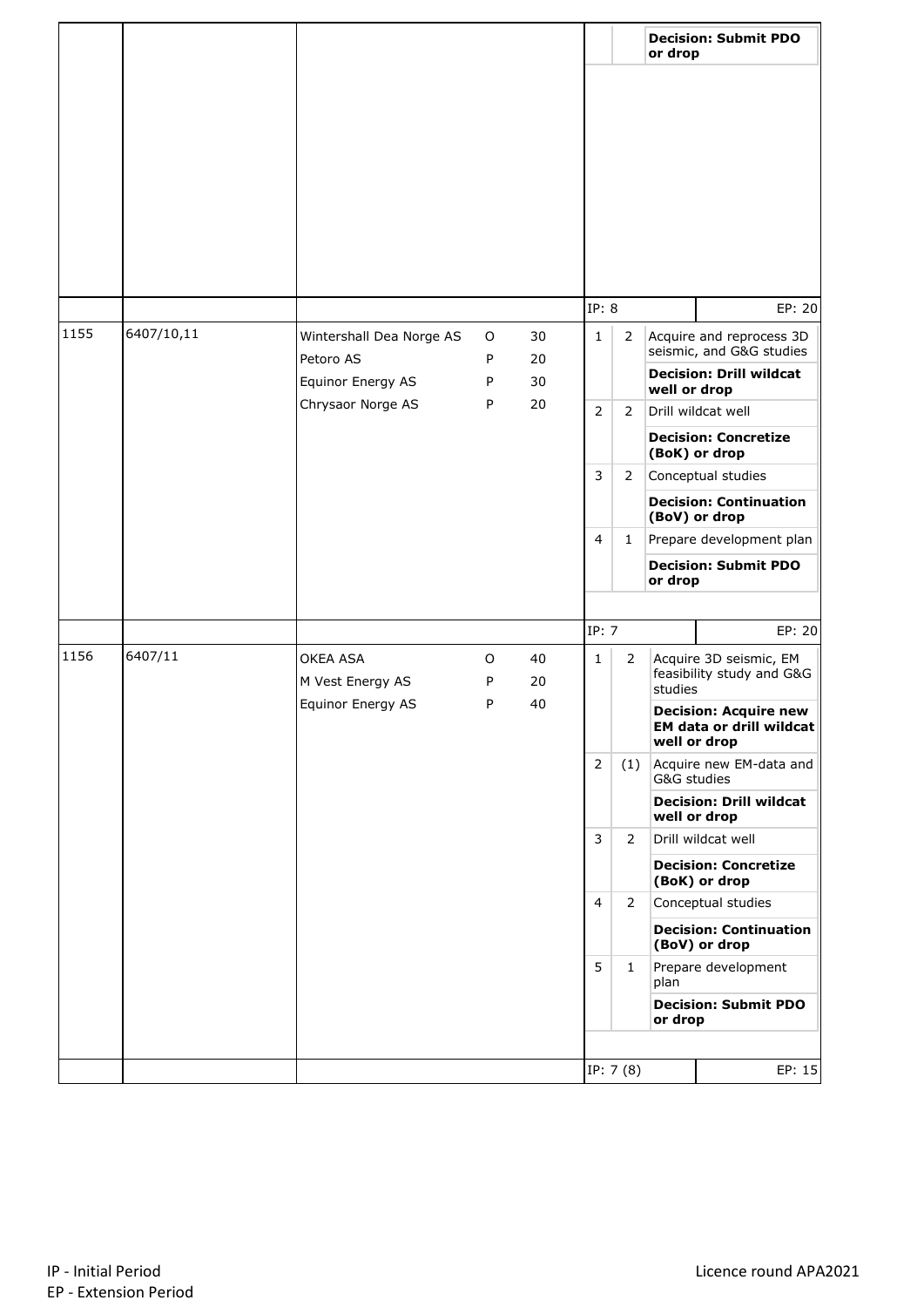|      |            |                                       |              |          |                |                | or drop                                                        | <b>Decision: Submit PDO</b>                                              |
|------|------------|---------------------------------------|--------------|----------|----------------|----------------|----------------------------------------------------------------|--------------------------------------------------------------------------|
|      |            |                                       |              |          |                |                |                                                                |                                                                          |
|      |            |                                       |              |          |                |                |                                                                |                                                                          |
|      |            |                                       |              |          | IP: 8          |                |                                                                | EP: 20                                                                   |
| 1155 | 6407/10,11 | Wintershall Dea Norge AS<br>Petoro AS | O<br>P       | 30<br>20 | $\mathbf{1}$   | $\overline{2}$ |                                                                | Acquire and reprocess 3D<br>seismic, and G&G studies                     |
|      |            | Equinor Energy AS                     | P            | 30       |                |                | well or drop                                                   | <b>Decision: Drill wildcat</b>                                           |
|      |            | Chrysaor Norge AS                     | P            | 20       | $\overline{2}$ | $\overline{2}$ |                                                                | Drill wildcat well<br><b>Decision: Concretize</b>                        |
|      |            |                                       |              |          |                |                |                                                                | (BoK) or drop                                                            |
|      |            |                                       |              |          | 3              | 2              |                                                                | Conceptual studies                                                       |
|      |            |                                       |              |          |                |                |                                                                | <b>Decision: Continuation</b><br>(BoV) or drop                           |
|      |            |                                       |              |          | $\overline{4}$ | 1              | Prepare development plan                                       |                                                                          |
|      |            |                                       |              |          |                |                | or drop                                                        | <b>Decision: Submit PDO</b>                                              |
|      |            |                                       |              |          |                |                |                                                                |                                                                          |
|      |            |                                       |              |          | IP: 7          |                |                                                                | EP: 20                                                                   |
| 1156 | 6407/11    | OKEA ASA<br>M Vest Energy AS          | $\circ$<br>P | 40<br>20 | $\mathbf{1}$   | $\overline{2}$ | Acquire 3D seismic, EM<br>feasibility study and G&G<br>studies |                                                                          |
|      |            | Equinor Energy AS                     | P            | 40       |                |                |                                                                | <b>Decision: Acquire new</b><br>EM data or drill wildcat<br>well or drop |
|      |            |                                       |              |          | $\overline{2}$ | (1)            | G&G studies                                                    | Acquire new EM-data and                                                  |
|      |            |                                       |              |          |                |                |                                                                | <b>Decision: Drill wildcat</b><br>well or drop                           |
|      |            |                                       |              |          | 3              | 2              |                                                                | Drill wildcat well                                                       |
|      |            |                                       |              |          |                |                |                                                                | <b>Decision: Concretize</b><br>(BoK) or drop                             |
|      |            |                                       |              |          | 4              | $\mathbf{2}$   |                                                                | Conceptual studies                                                       |
|      |            |                                       |              |          |                |                |                                                                | <b>Decision: Continuation</b><br>(BoV) or drop                           |
|      |            |                                       |              |          | 5              | $\mathbf{1}$   | plan                                                           | Prepare development                                                      |
|      |            |                                       |              |          |                |                | or drop                                                        | <b>Decision: Submit PDO</b>                                              |
|      |            |                                       |              |          |                |                |                                                                |                                                                          |
|      |            |                                       |              |          |                | IP: 7 (8)      |                                                                | EP: 15                                                                   |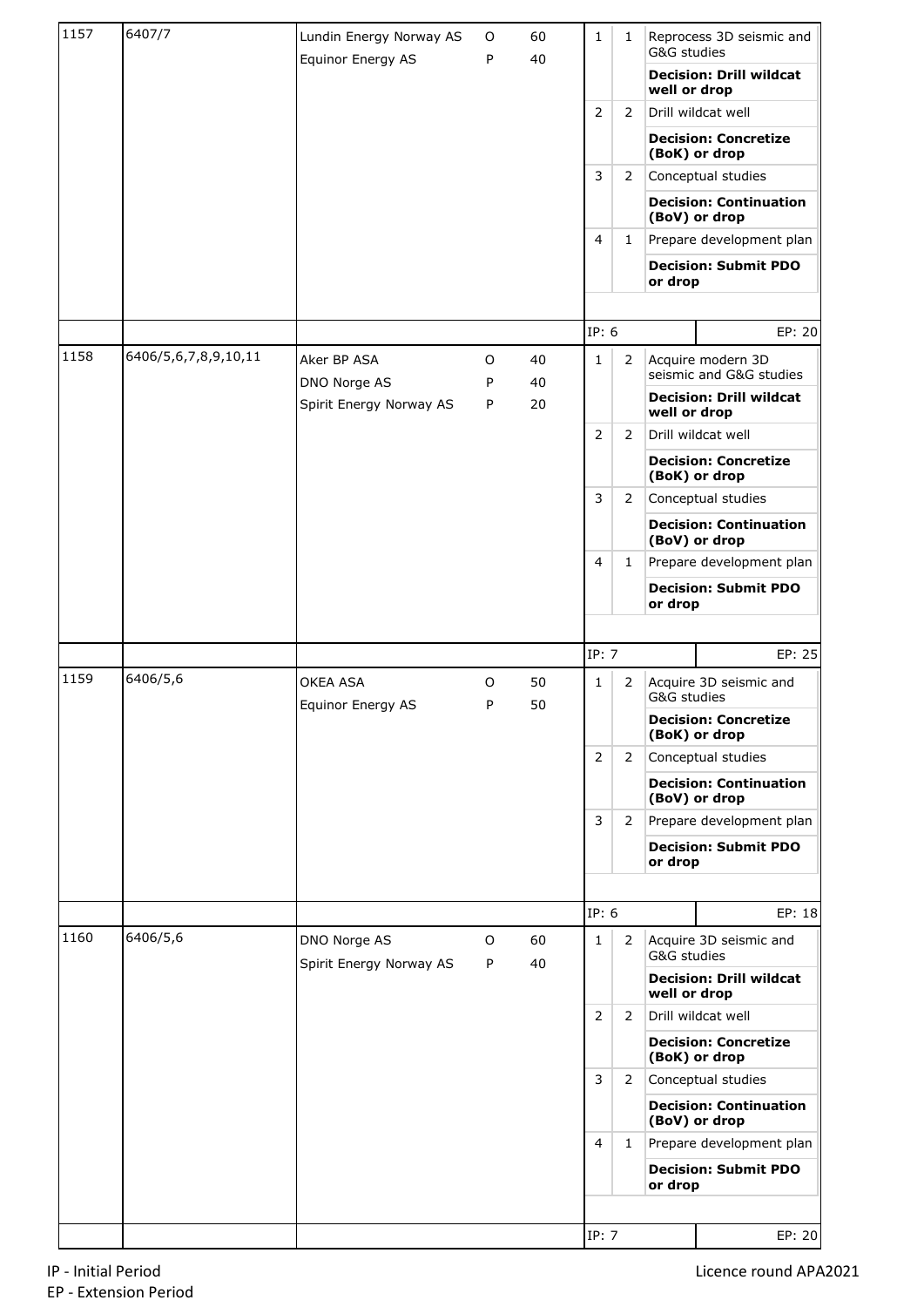| 1157 | 6407/7               | Lundin Energy Norway AS                 | 0      | 60       | $\mathbf{1}$   | $\mathbf{1}$   | G&G studies  | Reprocess 3D seismic and                       |
|------|----------------------|-----------------------------------------|--------|----------|----------------|----------------|--------------|------------------------------------------------|
|      |                      | Equinor Energy AS                       | P      | 40       |                |                | well or drop | <b>Decision: Drill wildcat</b>                 |
|      |                      |                                         |        |          | $\overline{2}$ | $\overline{2}$ |              | Drill wildcat well                             |
|      |                      |                                         |        |          |                |                |              | <b>Decision: Concretize</b><br>(BoK) or drop   |
|      |                      |                                         |        |          | 3              | $\mathbf{2}$   |              | Conceptual studies                             |
|      |                      |                                         |        |          |                |                |              | <b>Decision: Continuation</b><br>(BoV) or drop |
|      |                      |                                         |        |          | $\overline{4}$ | $\mathbf{1}$   |              | Prepare development plan                       |
|      |                      |                                         |        |          |                |                | or drop      | <b>Decision: Submit PDO</b>                    |
|      |                      |                                         |        |          |                |                |              |                                                |
|      |                      |                                         |        |          | IP: 6          |                |              | EP: 20                                         |
| 1158 | 6406/5,6,7,8,9,10,11 | Aker BP ASA<br>DNO Norge AS             | O<br>P | 40<br>40 | $\mathbf{1}$   | $\overline{2}$ |              | Acquire modern 3D<br>seismic and G&G studies   |
|      |                      | Spirit Energy Norway AS                 | P      | 20       |                |                | well or drop | <b>Decision: Drill wildcat</b>                 |
|      |                      |                                         |        |          | 2              | 2              |              | Drill wildcat well                             |
|      |                      |                                         |        |          |                |                |              | <b>Decision: Concretize</b><br>(BoK) or drop   |
|      |                      |                                         |        |          | 3              | $\overline{2}$ |              | Conceptual studies                             |
|      |                      |                                         |        |          |                |                |              | <b>Decision: Continuation</b><br>(BoV) or drop |
|      |                      |                                         |        |          | 4              | $\mathbf{1}$   |              | Prepare development plan                       |
|      |                      |                                         |        |          |                |                | or drop      | <b>Decision: Submit PDO</b>                    |
|      |                      |                                         |        |          |                |                |              |                                                |
|      |                      |                                         |        |          | IP: 7          |                |              | EP: 25                                         |
| 1159 | 6406/5,6             | OKEA ASA<br>Equinor Energy AS           | O<br>P | 50<br>50 | $\mathbf{1}$   | $\overline{2}$ | G&G studies  | Acquire 3D seismic and                         |
|      |                      |                                         |        |          |                |                |              | <b>Decision: Concretize</b><br>(BoK) or drop   |
|      |                      |                                         |        |          | $\overline{2}$ | $\overline{2}$ |              | Conceptual studies                             |
|      |                      |                                         |        |          |                |                |              | <b>Decision: Continuation</b><br>(BoV) or drop |
|      |                      |                                         |        |          | 3              | $\mathbf{2}$   |              | Prepare development plan                       |
|      |                      |                                         |        |          |                |                | or drop      | <b>Decision: Submit PDO</b>                    |
|      |                      |                                         |        |          |                |                |              |                                                |
|      |                      |                                         |        |          | IP: 6          |                |              | EP: 18                                         |
| 1160 | 6406/5,6             | DNO Norge AS<br>Spirit Energy Norway AS | O<br>P | 60<br>40 | $\mathbf{1}$   | $\mathbf{2}$   | G&G studies  | Acquire 3D seismic and                         |
|      |                      |                                         |        |          |                |                | well or drop | <b>Decision: Drill wildcat</b>                 |
|      |                      |                                         |        |          | $\overline{2}$ | $\overline{2}$ |              | Drill wildcat well                             |
|      |                      |                                         |        |          |                |                |              | <b>Decision: Concretize</b><br>(BoK) or drop   |
|      |                      |                                         |        |          | 3              | $\mathbf{2}$   |              | Conceptual studies                             |
|      |                      |                                         |        |          |                |                |              | <b>Decision: Continuation</b><br>(BoV) or drop |
|      |                      |                                         |        |          | $\overline{4}$ | $\mathbf{1}$   |              | Prepare development plan                       |
|      |                      |                                         |        |          |                |                |              |                                                |
|      |                      |                                         |        |          |                |                | or drop      | <b>Decision: Submit PDO</b>                    |
|      |                      |                                         |        |          | IP: 7          |                |              | EP: 20                                         |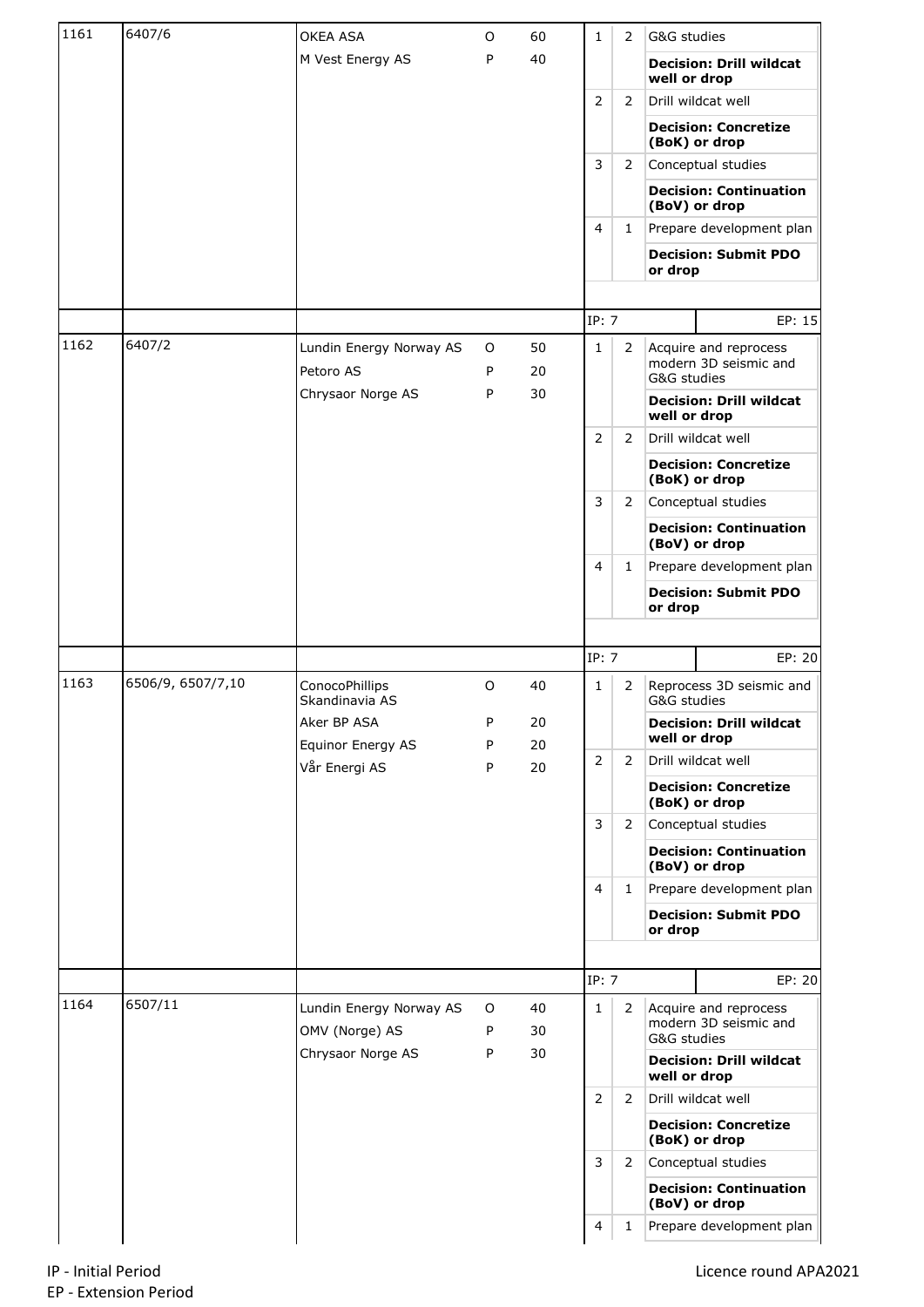| 1161 | 6407/6            | OKEA ASA                                  | O      | 60       | 1              | 2              | G&G studies                                                   |
|------|-------------------|-------------------------------------------|--------|----------|----------------|----------------|---------------------------------------------------------------|
|      |                   | M Vest Energy AS                          | P      | 40       |                |                | <b>Decision: Drill wildcat</b><br>well or drop                |
|      |                   |                                           |        |          | $\overline{2}$ | 2              | Drill wildcat well                                            |
|      |                   |                                           |        |          |                |                | <b>Decision: Concretize</b><br>(BoK) or drop                  |
|      |                   |                                           |        |          | 3              | 2              | Conceptual studies                                            |
|      |                   |                                           |        |          |                |                | <b>Decision: Continuation</b><br>(BoV) or drop                |
|      |                   |                                           |        |          | 4              | 1              | Prepare development plan                                      |
|      |                   |                                           |        |          |                |                | <b>Decision: Submit PDO</b><br>or drop                        |
|      |                   |                                           |        |          |                |                |                                                               |
|      |                   |                                           |        |          | IP: 7          |                | EP: 15                                                        |
| 1162 | 6407/2            | Lundin Energy Norway AS<br>Petoro AS      | 0<br>P | 50<br>20 | $\mathbf{1}$   | $\overline{2}$ | Acquire and reprocess<br>modern 3D seismic and<br>G&G studies |
|      |                   | Chrysaor Norge AS                         | Ρ      | 30       |                |                | <b>Decision: Drill wildcat</b><br>well or drop                |
|      |                   |                                           |        |          | $\overline{2}$ | $\overline{2}$ | Drill wildcat well                                            |
|      |                   |                                           |        |          |                |                | <b>Decision: Concretize</b><br>(BoK) or drop                  |
|      |                   |                                           |        |          | 3              | $\overline{2}$ | Conceptual studies                                            |
|      |                   |                                           |        |          |                |                | <b>Decision: Continuation</b><br>(BoV) or drop                |
|      |                   |                                           |        |          | 4              | 1              | Prepare development plan                                      |
|      |                   |                                           |        |          |                |                | <b>Decision: Submit PDO</b><br>or drop                        |
|      |                   |                                           |        |          |                |                |                                                               |
|      |                   |                                           |        |          |                |                |                                                               |
|      |                   |                                           |        |          | IP: 7          |                | EP: 20                                                        |
| 1163 | 6506/9, 6507/7,10 | ConocoPhillips<br>Skandinavia AS          | O      | 40       | 1              | 2              | Reprocess 3D seismic and<br>G&G studies                       |
|      |                   | Aker BP ASA                               | P      | $20\,$   |                |                | <b>Decision: Drill wildcat</b>                                |
|      |                   | Equinor Energy AS                         | P      | 20       | $\overline{2}$ | 2              | well or drop<br>Drill wildcat well                            |
|      |                   | Vår Energi AS                             | P      | 20       |                |                | <b>Decision: Concretize</b><br>(BoK) or drop                  |
|      |                   |                                           |        |          | 3              | $\overline{2}$ | Conceptual studies                                            |
|      |                   |                                           |        |          |                |                | <b>Decision: Continuation</b><br>(BoV) or drop                |
|      |                   |                                           |        |          | $\overline{4}$ | $\mathbf{1}$   | Prepare development plan                                      |
|      |                   |                                           |        |          |                |                | <b>Decision: Submit PDO</b><br>or drop                        |
|      |                   |                                           |        |          |                |                |                                                               |
|      |                   |                                           |        |          | IP: 7          |                | EP: 20                                                        |
| 1164 | 6507/11           | Lundin Energy Norway AS<br>OMV (Norge) AS | O<br>Ρ | 40<br>30 | $\mathbf{1}$   | $\overline{2}$ | Acquire and reprocess<br>modern 3D seismic and                |
|      |                   | Chrysaor Norge AS                         | P      | 30       |                |                | G&G studies<br><b>Decision: Drill wildcat</b><br>well or drop |
|      |                   |                                           |        |          | $\overline{2}$ | $\overline{2}$ | Drill wildcat well                                            |
|      |                   |                                           |        |          |                |                | <b>Decision: Concretize</b><br>(BoK) or drop                  |
|      |                   |                                           |        |          | 3              | 2              | Conceptual studies                                            |
|      |                   |                                           |        |          |                |                | <b>Decision: Continuation</b><br>(BoV) or drop                |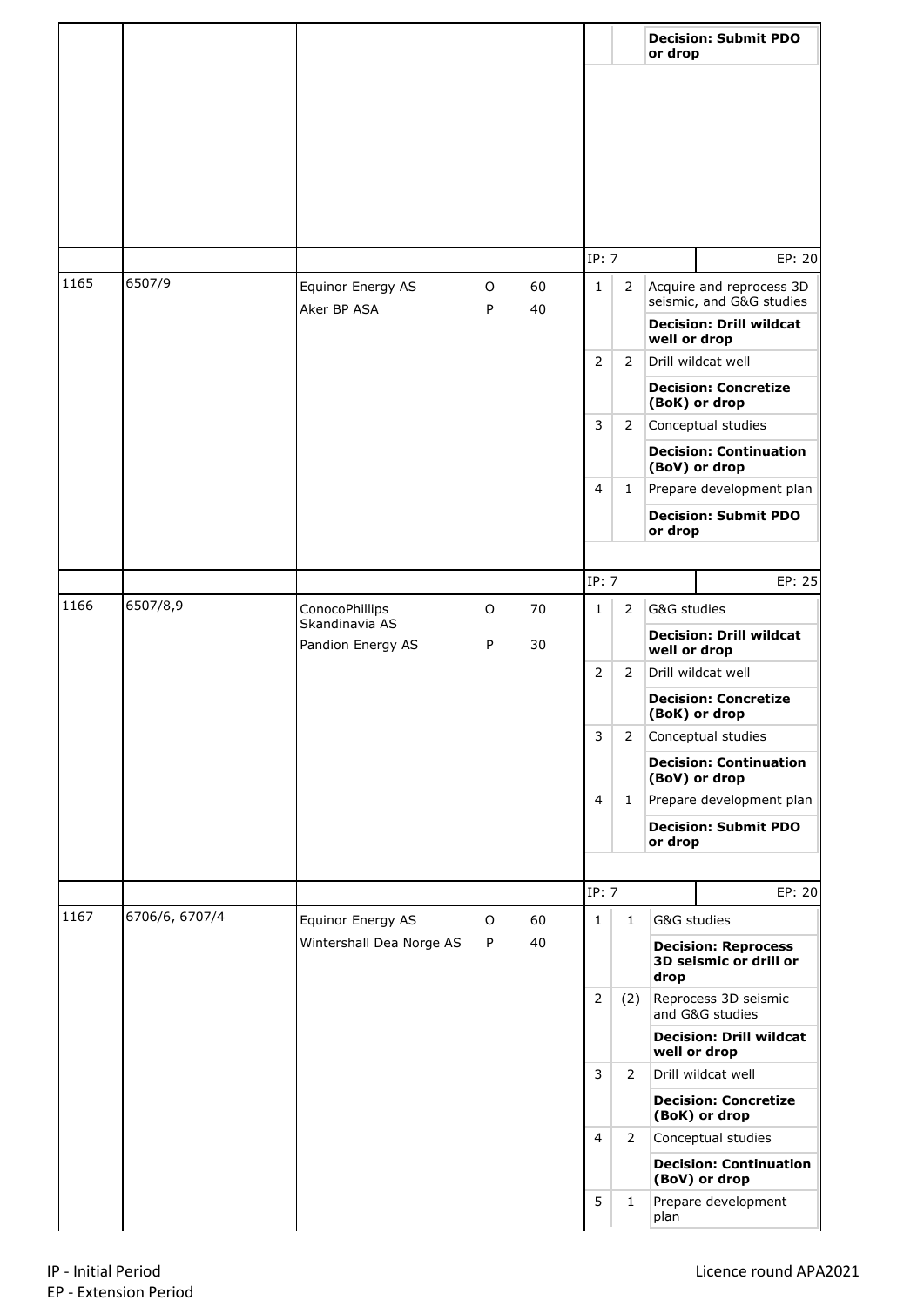|      |                |                                                       |             |          |                                                                                                                                    |                | or drop                                             | <b>Decision: Submit PDO</b>                          |
|------|----------------|-------------------------------------------------------|-------------|----------|------------------------------------------------------------------------------------------------------------------------------------|----------------|-----------------------------------------------------|------------------------------------------------------|
|      |                |                                                       |             |          |                                                                                                                                    |                |                                                     |                                                      |
|      |                |                                                       |             |          | IP: 7                                                                                                                              |                |                                                     | EP: 20                                               |
| 1165 | 6507/9         | Equinor Energy AS<br>Aker BP ASA                      | O<br>P      | 60<br>40 | $\mathbf{1}$                                                                                                                       | $\mathbf{2}$   |                                                     | Acquire and reprocess 3D<br>seismic, and G&G studies |
|      |                |                                                       |             |          |                                                                                                                                    |                | <b>Decision: Drill wildcat</b><br>well or drop      |                                                      |
|      |                |                                                       |             |          | $\overline{2}$                                                                                                                     | $\overline{2}$ | Drill wildcat well                                  |                                                      |
|      |                |                                                       |             |          |                                                                                                                                    |                | <b>Decision: Concretize</b><br>(BoK) or drop        |                                                      |
|      |                |                                                       |             |          | 3                                                                                                                                  | 2              | Conceptual studies<br><b>Decision: Continuation</b> |                                                      |
|      |                |                                                       |             |          | 4                                                                                                                                  | 1              |                                                     | (BoV) or drop<br>Prepare development plan            |
|      |                |                                                       |             |          |                                                                                                                                    |                | or drop                                             | <b>Decision: Submit PDO</b>                          |
|      |                |                                                       |             |          |                                                                                                                                    |                |                                                     |                                                      |
|      |                |                                                       |             |          | IP: 7                                                                                                                              |                |                                                     | EP: 25                                               |
| 1166 | 6507/8,9       | ConocoPhillips<br>Skandinavia AS<br>Pandion Energy AS | $\mathsf O$ | 70       | $\mathbf{1}$<br>$\overline{2}$                                                                                                     | $\overline{2}$ | G&G studies                                         |                                                      |
|      |                |                                                       | P           | 30       |                                                                                                                                    |                | well or drop                                        | <b>Decision: Drill wildcat</b>                       |
|      |                |                                                       |             |          |                                                                                                                                    | $\overline{2}$ |                                                     | Drill wildcat well                                   |
|      |                |                                                       |             |          |                                                                                                                                    |                |                                                     | <b>Decision: Concretize</b><br>(BoK) or drop         |
|      |                |                                                       |             |          | 3                                                                                                                                  | 2              |                                                     | Conceptual studies                                   |
|      |                |                                                       |             |          |                                                                                                                                    |                |                                                     | <b>Decision: Continuation</b><br>(BoV) or drop       |
|      |                |                                                       |             |          | 4                                                                                                                                  | $\mathbf{1}$   |                                                     | Prepare development plan                             |
|      |                |                                                       |             |          |                                                                                                                                    |                | or drop                                             | <b>Decision: Submit PDO</b>                          |
|      |                |                                                       |             |          |                                                                                                                                    |                |                                                     |                                                      |
| 1167 | 6706/6, 6707/4 |                                                       |             |          | IP: 7                                                                                                                              |                |                                                     | EP: 20                                               |
|      |                | Equinor Energy AS<br>Wintershall Dea Norge AS         | O<br>P      | 60<br>40 | $\mathbf{1}$                                                                                                                       | $\mathbf{1}$   | G&G studies                                         | <b>Decision: Reprocess</b><br>3D seismic or drill or |
|      |                |                                                       |             |          | drop<br>$\overline{2}$<br>(2)<br>well or drop<br>3<br>$\overline{2}$<br>Drill wildcat well<br>(BoK) or drop<br>$\overline{4}$<br>2 |                |                                                     | Reprocess 3D seismic                                 |
|      |                |                                                       |             |          |                                                                                                                                    |                |                                                     | and G&G studies<br><b>Decision: Drill wildcat</b>    |
|      |                |                                                       |             |          |                                                                                                                                    |                |                                                     |                                                      |
|      |                |                                                       |             |          |                                                                                                                                    |                |                                                     | <b>Decision: Concretize</b>                          |
|      |                |                                                       |             |          |                                                                                                                                    |                |                                                     | Conceptual studies                                   |
|      |                |                                                       |             |          |                                                                                                                                    |                |                                                     | <b>Decision: Continuation</b><br>(BoV) or drop       |
|      |                |                                                       |             |          | 5                                                                                                                                  | $\mathbf{1}$   | plan                                                | Prepare development                                  |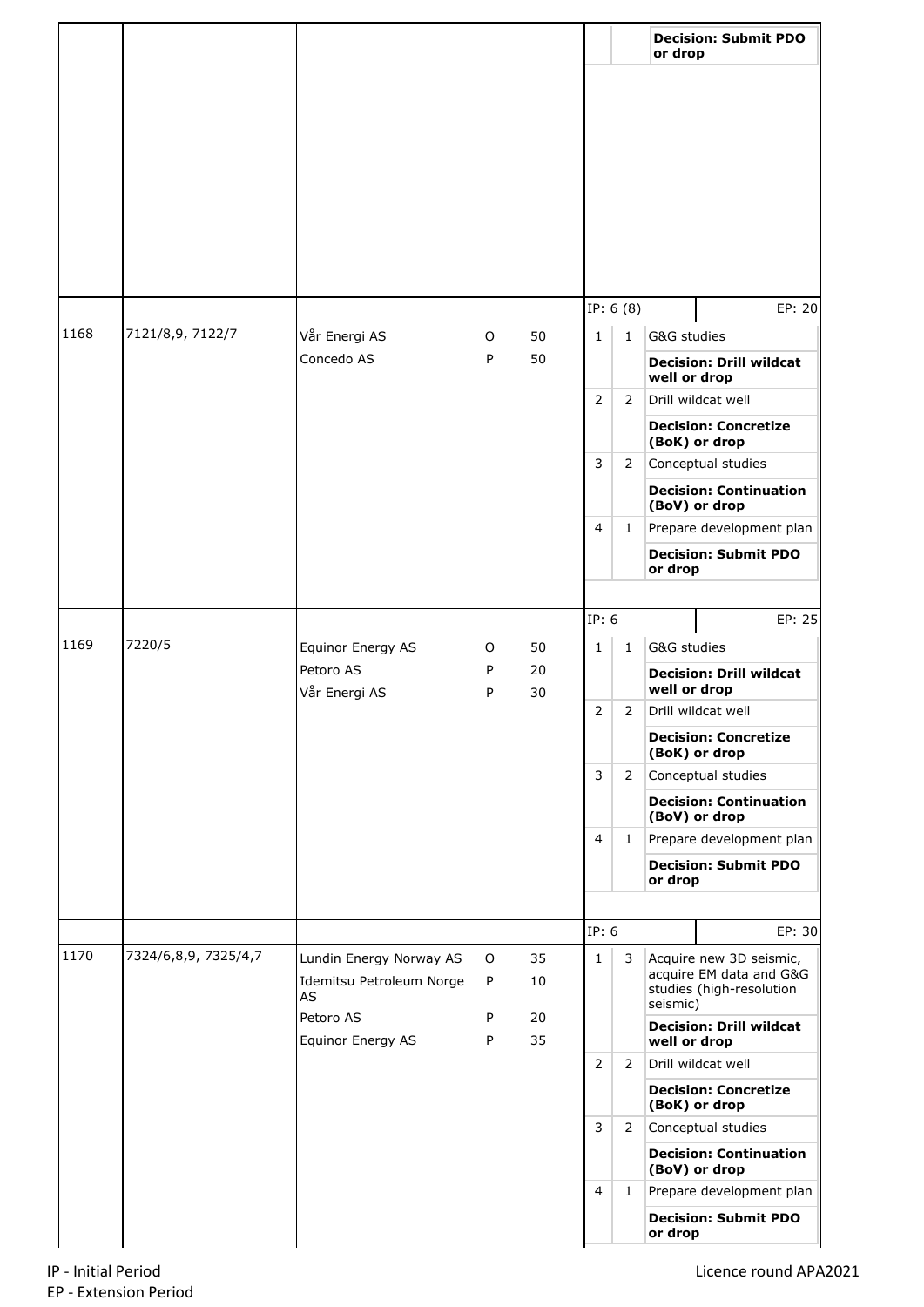|      |                      |                                |             |          |                                          |                | or drop                                            | <b>Decision: Submit PDO</b>                       |
|------|----------------------|--------------------------------|-------------|----------|------------------------------------------|----------------|----------------------------------------------------|---------------------------------------------------|
|      |                      |                                |             |          |                                          |                |                                                    |                                                   |
|      |                      |                                |             |          |                                          |                |                                                    |                                                   |
|      |                      |                                |             |          |                                          |                |                                                    |                                                   |
|      |                      |                                |             |          |                                          |                |                                                    |                                                   |
|      |                      |                                |             |          |                                          |                |                                                    |                                                   |
|      |                      |                                |             |          |                                          |                |                                                    |                                                   |
|      |                      |                                |             |          |                                          |                |                                                    |                                                   |
|      |                      |                                |             |          |                                          |                |                                                    |                                                   |
|      |                      |                                |             |          |                                          | IP: $6(8)$     |                                                    | EP: 20                                            |
| 1168 | 7121/8,9, 7122/7     | Vår Energi AS                  | $\mathsf O$ | 50       | $\mathbf{1}$                             | $\mathbf{1}$   | G&G studies                                        |                                                   |
|      |                      | Concedo AS                     | P           | 50       |                                          |                | <b>Decision: Drill wildcat</b><br>well or drop     |                                                   |
|      |                      |                                |             |          | $\overline{2}$                           | $\overline{2}$ |                                                    | Drill wildcat well                                |
|      |                      |                                |             |          |                                          |                |                                                    | <b>Decision: Concretize</b><br>(BoK) or drop      |
|      |                      |                                |             |          | 3                                        | $\overline{2}$ | Conceptual studies                                 |                                                   |
|      |                      |                                |             |          |                                          |                | <b>Decision: Continuation</b>                      |                                                   |
|      |                      |                                |             |          | 4                                        | 1              | (BoV) or drop<br>Prepare development plan          |                                                   |
|      |                      |                                |             |          |                                          |                |                                                    | <b>Decision: Submit PDO</b>                       |
|      |                      |                                |             |          |                                          |                | or drop                                            |                                                   |
|      |                      |                                |             |          | IP: 6                                    |                |                                                    | EP: 25                                            |
| 1169 | 7220/5               | Equinor Energy AS              | O           | 50       | $\mathbf{1}$                             | $\mathbf{1}$   |                                                    |                                                   |
|      |                      | Petoro AS<br>Vår Energi AS     | P<br>P      | 20<br>30 |                                          |                | G&G studies<br><b>Decision: Drill wildcat</b>      |                                                   |
|      |                      |                                |             |          |                                          |                | well or drop                                       |                                                   |
|      |                      |                                |             |          |                                          | 2<br>2         |                                                    | Drill wildcat well                                |
|      |                      |                                |             |          | 3<br>$\overline{2}$<br>4<br>$\mathbf{1}$ |                |                                                    | <b>Decision: Concretize</b><br>(BoK) or drop      |
|      |                      |                                |             |          |                                          |                |                                                    | Conceptual studies                                |
|      |                      |                                |             |          |                                          |                |                                                    | <b>Decision: Continuation</b><br>(BoV) or drop    |
|      |                      |                                |             |          |                                          |                |                                                    | Prepare development plan                          |
|      |                      |                                |             |          |                                          |                | or drop                                            | <b>Decision: Submit PDO</b>                       |
|      |                      |                                |             |          |                                          |                |                                                    |                                                   |
|      |                      |                                |             |          |                                          | IP: 6          |                                                    | EP: 30                                            |
| 1170 | 7324/6,8,9, 7325/4,7 | Lundin Energy Norway AS        | O           | 35       | $\mathbf{1}$                             | 3              | Acquire new 3D seismic,<br>acquire EM data and G&G |                                                   |
|      |                      | Idemitsu Petroleum Norge<br>AS | P           | 10       |                                          |                |                                                    | studies (high-resolution                          |
|      |                      | Petoro AS                      | P           | 20       |                                          |                | seismic)                                           | <b>Decision: Drill wildcat</b>                    |
|      |                      | Equinor Energy AS              | P           | 35       |                                          |                |                                                    | well or drop                                      |
|      |                      |                                |             |          | $\overline{2}$                           | $\overline{2}$ |                                                    | Drill wildcat well<br><b>Decision: Concretize</b> |
|      |                      |                                |             |          |                                          |                |                                                    | (BoK) or drop                                     |
|      |                      |                                |             |          | 3                                        | $\mathbf{2}$   |                                                    | Conceptual studies                                |
|      |                      |                                |             |          |                                          |                |                                                    | <b>Decision: Continuation</b><br>(BoV) or drop    |
|      |                      |                                |             |          | $\overline{4}$                           | $\mathbf{1}$   |                                                    | Prepare development plan                          |
|      |                      |                                |             |          |                                          |                | or drop                                            | <b>Decision: Submit PDO</b>                       |
|      |                      |                                |             |          |                                          |                |                                                    |                                                   |